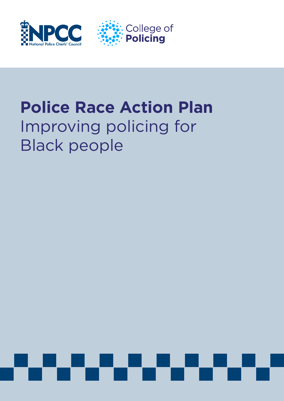



# **Police Race Action Plan** Improving policing for Black people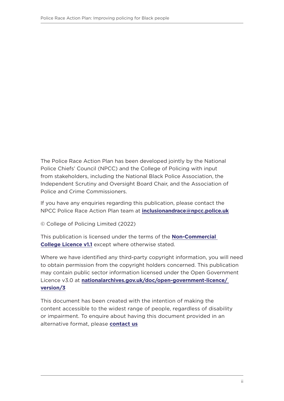The Police Race Action Plan has been developed jointly by the National Police Chiefs' Council (NPCC) and the College of Policing with input from stakeholders, including the National Black Police Association, the Independent Scrutiny and Oversight Board Chair, and the Association of Police and Crime Commissioners.

If you have any enquiries regarding this publication, please contact the NPCC Police Race Action Plan team at **[inclusionandrace@npcc.police.uk](mailto:inclusionandrace%40npcc.police.uk?subject=Police%20Race%20Action%20Plan)**

© College of Policing Limited (2022)

This publication is licensed under the terms of the **[Non-Commercial](https://www.college.police.uk/non-commercial-college-licence)  [College Licence v1.1](https://www.college.police.uk/non-commercial-college-licence)** except where otherwise stated.

Where we have identified any third-party copyright information, you will need to obtain permission from the copyright holders concerned. This publication may contain public sector information licensed under the Open Government Licence v3.0 at **[nationalarchives.gov.uk/doc/open-government-licence/](http://nationalarchives.gov.uk/doc/open-government-licence/version/3)  [version/3](http://nationalarchives.gov.uk/doc/open-government-licence/version/3)**

This document has been created with the intention of making the content accessible to the widest range of people, regardless of disability or impairment. To enquire about having this document provided in an alternative format, please **[contact us](mailto:contactus%40college.police.uk?subject=Police%20Race%20Action%20Plan)**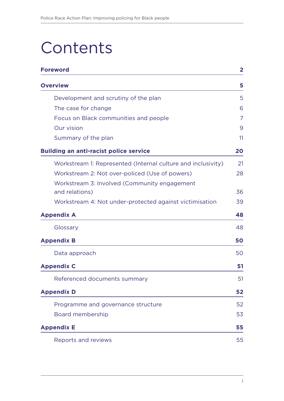# **Contents**

| <b>Foreword</b>                                                |                |
|----------------------------------------------------------------|----------------|
| <b>Overview</b>                                                | 5              |
| Development and scrutiny of the plan                           | 5              |
| The case for change                                            | 6              |
| Focus on Black communities and people                          | $\overline{7}$ |
| Our vision                                                     | 9              |
| Summary of the plan                                            | 11             |
| <b>Building an anti-racist police service</b>                  | 20             |
| Workstream 1: Represented (Internal culture and inclusivity)   | 21             |
| Workstream 2: Not over-policed (Use of powers)                 | 28             |
| Workstream 3: Involved (Community engagement<br>and relations) | 36             |
| Workstream 4: Not under-protected against victimisation        | 39             |
| <b>Appendix A</b>                                              | 48             |
| Glossary                                                       | 48             |
| <b>Appendix B</b>                                              | 50             |
| Data approach                                                  | 50             |
| <b>Appendix C</b>                                              | 51             |
| Referenced documents summary                                   | 51             |
| <b>Appendix D</b>                                              | 52             |
| Programme and governance structure                             | 52             |
| Board membership                                               | 53             |
| <b>Appendix E</b>                                              | 55             |
| Reports and reviews                                            | 55             |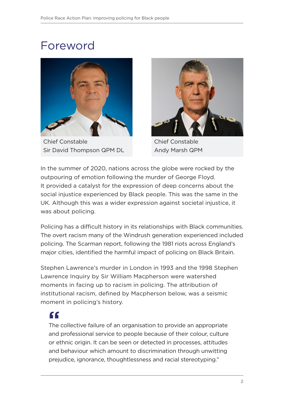# <span id="page-3-0"></span>Foreword



Chief Constable Sir David Thompson QPM DL



Chief Constable Andy Marsh QPM

In the summer of 2020, nations across the globe were rocked by the outpouring of emotion following the murder of George Floyd. It provided a catalyst for the expression of deep concerns about the social injustice experienced by Black people. This was the same in the UK. Although this was a wider expression against societal injustice, it was about policing.

Policing has a difficult history in its relationships with Black communities. The overt racism many of the Windrush generation experienced included policing. The Scarman report, following the 1981 riots across England's major cities, identified the harmful impact of policing on Black Britain.

Stephen Lawrence's murder in London in 1993 and the 1998 Stephen Lawrence Inquiry by Sir William Macpherson were watershed moments in facing up to racism in policing. The attribution of institutional racism, defined by Macpherson below, was a seismic moment in policing's history.

## **"**

The collective failure of an organisation to provide an appropriate and professional service to people because of their colour, culture or ethnic origin. It can be seen or detected in processes, attitudes and behaviour which amount to discrimination through unwitting prejudice, ignorance, thoughtlessness and racial stereotyping."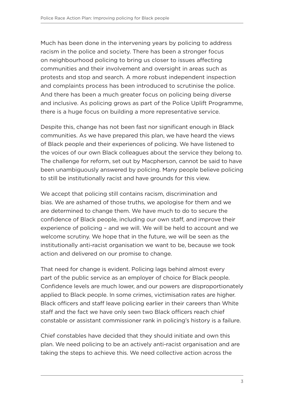Much has been done in the intervening years by policing to address racism in the police and society. There has been a stronger focus on neighbourhood policing to bring us closer to issues affecting communities and their involvement and oversight in areas such as protests and stop and search. A more robust independent inspection and complaints process has been introduced to scrutinise the police. And there has been a much greater focus on policing being diverse and inclusive. As policing grows as part of the Police Uplift Programme, there is a huge focus on building a more representative service.

Despite this, change has not been fast nor significant enough in Black communities. As we have prepared this plan, we have heard the views of Black people and their experiences of policing. We have listened to the voices of our own Black colleagues about the service they belong to. The challenge for reform, set out by Macpherson, cannot be said to have been unambiguously answered by policing. Many people believe policing to still be institutionally racist and have grounds for this view.

We accept that policing still contains racism, discrimination and bias. We are ashamed of those truths, we apologise for them and we are determined to change them. We have much to do to secure the confidence of Black people, including our own staff, and improve their experience of policing – and we will. We will be held to account and we welcome scrutiny. We hope that in the future, we will be seen as the institutionally anti-racist organisation we want to be, because we took action and delivered on our promise to change.

That need for change is evident. Policing lags behind almost every part of the public service as an employer of choice for Black people. Confidence levels are much lower, and our powers are disproportionately applied to Black people. In some crimes, victimisation rates are higher. Black officers and staff leave policing earlier in their careers than White staff and the fact we have only seen two Black officers reach chief constable or assistant commissioner rank in policing's history is a failure.

Chief constables have decided that they should initiate and own this plan. We need policing to be an actively anti-racist organisation and are taking the steps to achieve this. We need collective action across the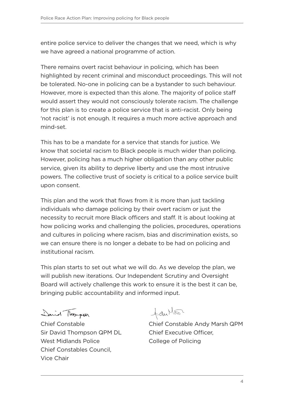entire police service to deliver the changes that we need, which is why we have agreed a national programme of action.

There remains overt racist behaviour in policing, which has been highlighted by recent criminal and misconduct proceedings. This will not be tolerated. No-one in policing can be a bystander to such behaviour. However, more is expected than this alone. The majority of police staff would assert they would not consciously tolerate racism. The challenge for this plan is to create a police service that is anti-racist. Only being 'not racist' is not enough. It requires a much more active approach and mind-set.

This has to be a mandate for a service that stands for justice. We know that societal racism to Black people is much wider than policing. However, policing has a much higher obligation than any other public service, given its ability to deprive liberty and use the most intrusive powers. The collective trust of society is critical to a police service built upon consent.

This plan and the work that flows from it is more than just tackling individuals who damage policing by their overt racism or just the necessity to recruit more Black officers and staff. It is about looking at how policing works and challenging the policies, procedures, operations and cultures in policing where racism, bias and discrimination exists, so we can ensure there is no longer a debate to be had on policing and institutional racism.

This plan starts to set out what we will do. As we develop the plan, we will publish new iterations. Our Independent Scrutiny and Oversight Board will actively challenge this work to ensure it is the best it can be, bringing public accountability and informed input.

David Thompson

Chief Constable Sir David Thompson QPM DL West Midlands Police Chief Constables Council, Vice Chair

 $+du$ Mor

Chief Constable Andy Marsh QPM Chief Executive Officer, College of Policing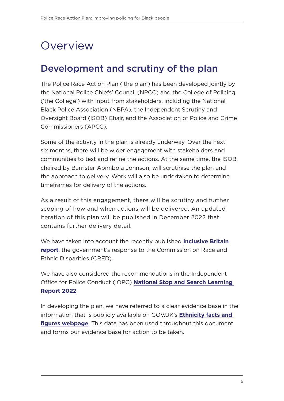# <span id="page-6-0"></span>**Overview**

### Development and scrutiny of the plan

The Police Race Action Plan ('the plan') has been developed jointly by the National Police Chiefs' Council (NPCC) and the College of Policing ('the College') with input from stakeholders, including the National Black Police Association (NBPA), the Independent Scrutiny and Oversight Board (ISOB) Chair, and the Association of Police and Crime Commissioners (APCC).

Some of the activity in the plan is already underway. Over the next six months, there will be wider engagement with stakeholders and communities to test and refine the actions. At the same time, the ISOB, chaired by Barrister Abimbola Johnson, will scrutinise the plan and the approach to delivery. Work will also be undertaken to determine timeframes for delivery of the actions.

As a result of this engagement, there will be scrutiny and further scoping of how and when actions will be delivered. An updated iteration of this plan will be published in December 2022 that contains further delivery detail.

We have taken into account the recently published **[Inclusive Britain](https://www.gov.uk/government/publications/inclusive-britain-action-plan-government-response-to-the-commission-on-race-and-ethnic-disparities/inclusive-britain-government-response-to-the-commission-on-race-and-ethnic-disparities)  [report](https://www.gov.uk/government/publications/inclusive-britain-action-plan-government-response-to-the-commission-on-race-and-ethnic-disparities/inclusive-britain-government-response-to-the-commission-on-race-and-ethnic-disparities)**, the government's response to the Commission on Race and Ethnic Disparities (CRED).

We have also considered the recommendations in the Independent Office for Police Conduct (IOPC) **[National Stop and Search Learning](https://www.policeconduct.gov.uk/national-stop-and-search-learning-report-april-2022)  [Report 2022](https://www.policeconduct.gov.uk/national-stop-and-search-learning-report-april-2022)**.

In developing the plan, we have referred to a clear evidence base in the information that is publicly available on GOV.UK's **[Ethnicity facts and](https://www.ethnicity-facts-figures.service.gov.uk/)  [figures webpage](https://www.ethnicity-facts-figures.service.gov.uk/)**. This data has been used throughout this document and forms our evidence base for action to be taken.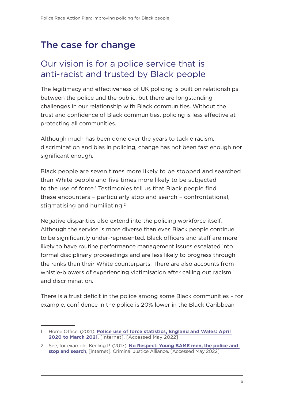## <span id="page-7-0"></span>The case for change

### Our vision is for a police service that is anti-racist and trusted by Black people

The legitimacy and effectiveness of UK policing is built on relationships between the police and the public, but there are longstanding challenges in our relationship with Black communities. Without the trust and confidence of Black communities, policing is less effective at protecting all communities.

Although much has been done over the years to tackle racism, discrimination and bias in policing, change has not been fast enough nor significant enough.

Black people are seven times more likely to be stopped and searched than White people and five times more likely to be subjected to the use of force.<sup>1</sup> Testimonies tell us that Black people find these encounters – particularly stop and search – confrontational, stigmatising and humiliating.<sup>2</sup>

Negative disparities also extend into the policing workforce itself. Although the service is more diverse than ever, Black people continue to be significantly under-represented. Black officers and staff are more likely to have routine performance management issues escalated into formal disciplinary proceedings and are less likely to progress through the ranks than their White counterparts. There are also accounts from whistle-blowers of experiencing victimisation after calling out racism and discrimination.

There is a trust deficit in the police among some Black communities – for example, confidence in the police is 20% lower in the Black Caribbean

<sup>1</sup> Home Office. (2021). **[Police use of force statistics, England and Wales: April](https://www.gov.uk/government/statistics/police-use-of-force-statistics-england-and-wales-april-2020-to-march-2021/police-use-of-force-statistics-england-and-wales-april-2020-to-march-2021)  [2020 to March 2021](https://www.gov.uk/government/statistics/police-use-of-force-statistics-england-and-wales-april-2020-to-march-2021/police-use-of-force-statistics-england-and-wales-april-2020-to-march-2021)**. [internet]. [Accessed May 2022]

<sup>2</sup> See, for example: Keeling P. (2017). **[No Respect: Young BAME men, the police and](https://www.criminaljusticealliance.org/wp-content/uploads/No-Respect-Young-BAME-men.pdf)  [stop and search](https://www.criminaljusticealliance.org/wp-content/uploads/No-Respect-Young-BAME-men.pdf)**, [internet]. Criminal Justice Alliance. [Accessed May 2022]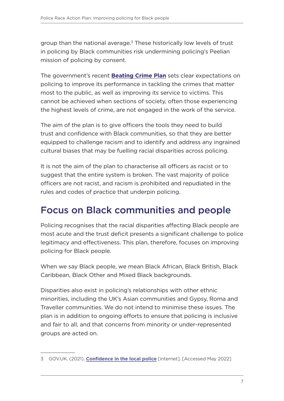<span id="page-8-0"></span>group than the national average. $3$  These historically low levels of trust in policing by Black communities risk undermining policing's Peelian mission of policing by consent.

The government's recent **[Beating Crime Plan](https://www.gov.uk/government/publications/beating-crime-plan)** sets clear expectations on policing to improve its performance in tackling the crimes that matter most to the public, as well as improving its service to victims. This cannot be achieved when sections of society, often those experiencing the highest levels of crime, are not engaged in the work of the service.

The aim of the plan is to give officers the tools they need to build trust and confidence with Black communities, so that they are better equipped to challenge racism and to identify and address any ingrained cultural biases that may be fuelling racial disparities across policing.

It is not the aim of the plan to characterise all officers as racist or to suggest that the entire system is broken. The vast majority of police officers are not racist, and racism is prohibited and repudiated in the rules and codes of practice that underpin policing.

### Focus on Black communities and people

Policing recognises that the racial disparities affecting Black people are most acute and the trust deficit presents a significant challenge to police legitimacy and effectiveness. This plan, therefore, focuses on improving policing for Black people.

When we say Black people, we mean Black African, Black British, Black Caribbean, Black Other and Mixed Black backgrounds.

Disparities also exist in policing's relationships with other ethnic minorities, including the UK's Asian communities and Gypsy, Roma and Traveller communities. We do not intend to minimise these issues. The plan is in addition to ongoing efforts to ensure that policing is inclusive and fair to all, and that concerns from minority or under-represented groups are acted on.

<sup>3</sup> GOV.UK. (2021). **[Confidence in the local police](https://www.ethnicity-facts-figures.service.gov.uk/crime-justice-and-the-law/policing/confidence-in-the-local-police/latest?msclkid=6dbe10b0cfb011ecaee49ed79937b909)** [internet]. [Accessed May 2022]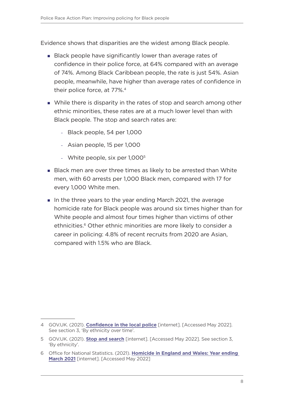Evidence shows that disparities are the widest among Black people.

- Black people have significantly lower than average rates of confidence in their police force, at 64% compared with an average of 74%. Among Black Caribbean people, the rate is just 54%. Asian people, meanwhile, have higher than average rates of confidence in their police force, at 77%.4
- **Nhile there is disparity in the rates of stop and search among other** ethnic minorities, these rates are at a much lower level than with Black people. The stop and search rates are:
	- Black people, 54 per 1,000
	- Asian people, 15 per 1,000
	- White people, six per 1,0005
- **Black men are over three times as likely to be arrested than White** men, with 60 arrests per 1,000 Black men, compared with 17 for every 1,000 White men.
- In the three years to the year ending March 2021, the average homicide rate for Black people was around six times higher than for White people and almost four times higher than victims of other ethnicities.<sup>6</sup> Other ethnic minorities are more likely to consider a career in policing: 4.8% of recent recruits from 2020 are Asian, compared with 1.5% who are Black.

<sup>4</sup> GOV.UK. (2021). **[Confidence in the local police](https://www.ethnicity-facts-figures.service.gov.uk/crime-justice-and-the-law/policing/confidence-in-the-local-police/latest#by-ethnicity-over-time)** [internet]. [Accessed May 2022]. See section 3, 'By ethnicity over time'.

<sup>5</sup> GOV.UK. (2021). **[Stop and search](https://www.ethnicity-facts-figures.service.gov.uk/crime-justice-and-the-law/policing/stop-and-search/latest#by-ethnicity)** [internet]. [Accessed May 2022]. See section 3, 'By ethnicity'.

<sup>6</sup> Office for National Statistics. (2021). **[Homicide in England and Wales: Year ending](https://www.ons.gov.uk/peoplepopulationandcommunity/crimeandjustice/articles/homicideinenglandandwales/yearendingmarch2021)  [March 2021](https://www.ons.gov.uk/peoplepopulationandcommunity/crimeandjustice/articles/homicideinenglandandwales/yearendingmarch2021)** [internet]. [Accessed May 2022]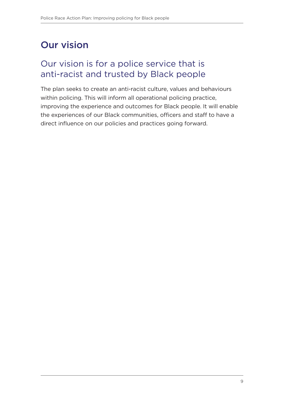## <span id="page-10-0"></span>Our vision

### Our vision is for a police service that is anti-racist and trusted by Black people

The plan seeks to create an anti-racist culture, values and behaviours within policing. This will inform all operational policing practice, improving the experience and outcomes for Black people. It will enable the experiences of our Black communities, officers and staff to have a direct influence on our policies and practices going forward.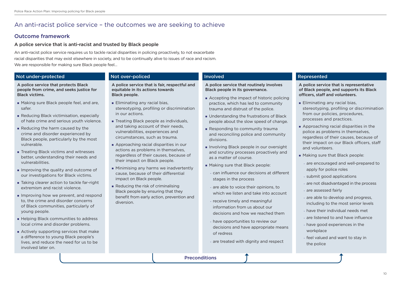A police service that routinely involves Black people in its governance.

- Accepting the impact of historic policing practice, which has led to community trauma and distrust of the police.
- **Understanding the frustrations of Black** people about the slow speed of change.
- **Responding to community traumally** and reconciling police and community divisions.
- Involving Black people in our oversight and scrutiny processes proactively and as a matter of course.
- **Making sure that Black people:** 
	- can influence our decisions at different stages in the process
	- are able to voice their opinions, to which we listen and take into account
- receive timely and meaningful information from us about our decisions and how we reached them
- have opportunities to review our decisions and have appropriate means of redress
- are treated with dignity and respect

#### Involved **Represented**

**Eliminating any racial bias,** stereotyping, profiling or discrimination from our policies, procedures, processes and practices.

**Approaching racial disparities in the** police as problems in themselves, regardless of their causes, because of their impact on our Black officers, staff and volunteers.

**Making sure that Black people:** 

A police service that is representative of Black people, and supports its Black officers, staff and volunteers.

- **Eliminating any racial bias,** stereotyping, profiling or discrimination in our actions.
- **Treating Black people as individuals,** and taking account of their needs, vulnerabilities, experiences and circumstances, such as trauma.
- **Approaching racial disparities in our** actions as problems in themselves, regardless of their causes, because of their impact on Black people.
- **Minimising any harms we inadvertently** cause, because of their differential impact on Black people.
- Reducing the risk of criminalising Black people by ensuring that they benefit from early action, prevention and diversion.

- are encouraged and well-prepared to apply for police roles
- submit good applications
- are not disadvantaged in the process
- are assessed fairly
- are able to develop and progress, including to the most senior levels
- have their individual needs met
- are listened to and have influence
- have good experiences in the workplace
- feel valued and want to stay in the police

### An anti-racist police service – the outcomes we are seeking to achieve

### Outcome framework

### A police service that is anti-racist and trusted by Black people

- **Making sure Black people feel, and are,** safer.
- Reducing Black victimisation, especially of hate crime and serious youth violence.
- Reducing the harm caused by the crime and disorder experienced by Black people, particularly by the most vulnerable.
- **Treating Black victims and witnesses** better, understanding their needs and vulnerabilities.
- Improving the quality and outcome of our investigations for Black victims.
- **Taking clearer action to tackle far-right** extremism and racist violence.
- Improving how we prevent, and respond to, the crime and disorder concerns of Black communities, particularly of young people.
- **Helping Black communities to address** local crime and disorder problems.
- **Actively supporting services that make** a difference to young Black people's lives, and reduce the need for us to be involved later on.

An anti-racist police service requires us to tackle racial disparities in policing proactively, to not exacerbate racial disparities that may exist elsewhere in society, and to be continually alive to issues of race and racism. We are responsible for making sure Black people feel…

#### Not under-protected Not over-policed

A police service that is fair, respectful and equitable in its actions towards Black people.

#### A police service that protects Black people from crime, and seeks justice for Black victims.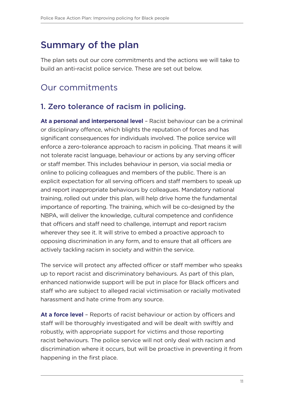### <span id="page-12-0"></span>Summary of the plan

The plan sets out our core commitments and the actions we will take to build an anti-racist police service. These are set out below.

### Our commitments

### 1. Zero tolerance of racism in policing.

**At a personal and interpersonal level** – Racist behaviour can be a criminal or disciplinary offence, which blights the reputation of forces and has significant consequences for individuals involved. The police service will enforce a zero-tolerance approach to racism in policing. That means it will not tolerate racist language, behaviour or actions by any serving officer or staff member. This includes behaviour in person, via social media or online to policing colleagues and members of the public. There is an explicit expectation for all serving officers and staff members to speak up and report inappropriate behaviours by colleagues. Mandatory national training, rolled out under this plan, will help drive home the fundamental importance of reporting. The training, which will be co-designed by the NBPA, will deliver the knowledge, cultural competence and confidence that officers and staff need to challenge, interrupt and report racism wherever they see it. It will strive to embed a proactive approach to opposing discrimination in any form, and to ensure that all officers are actively tackling racism in society and within the service.

The service will protect any affected officer or staff member who speaks up to report racist and discriminatory behaviours. As part of this plan, enhanced nationwide support will be put in place for Black officers and staff who are subject to alleged racial victimisation or racially motivated harassment and hate crime from any source.

**At a force level** – Reports of racist behaviour or action by officers and staff will be thoroughly investigated and will be dealt with swiftly and robustly, with appropriate support for victims and those reporting racist behaviours. The police service will not only deal with racism and discrimination where it occurs, but will be proactive in preventing it from happening in the first place.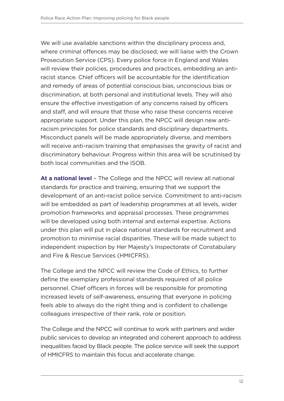We will use available sanctions within the disciplinary process and, where criminal offences may be disclosed, we will liaise with the Crown Prosecution Service (CPS). Every police force in England and Wales will review their policies, procedures and practices, embedding an antiracist stance. Chief officers will be accountable for the identification and remedy of areas of potential conscious bias, unconscious bias or discrimination, at both personal and institutional levels. They will also ensure the effective investigation of any concerns raised by officers and staff, and will ensure that those who raise these concerns receive appropriate support. Under this plan, the NPCC will design new antiracism principles for police standards and disciplinary departments. Misconduct panels will be made appropriately diverse, and members will receive anti-racism training that emphasises the gravity of racist and discriminatory behaviour. Progress within this area will be scrutinised by both local communities and the ISOB.

**At a national level** – The College and the NPCC will review all national standards for practice and training, ensuring that we support the development of an anti-racist police service. Commitment to anti-racism will be embedded as part of leadership programmes at all levels, wider promotion frameworks and appraisal processes. These programmes will be developed using both internal and external expertise. Actions under this plan will put in place national standards for recruitment and promotion to minimise racial disparities. These will be made subject to independent inspection by Her Majesty's Inspectorate of Constabulary and Fire & Rescue Services (HMICFRS).

The College and the NPCC will review the Code of Ethics, to further define the exemplary professional standards required of all police personnel. Chief officers in forces will be responsible for promoting increased levels of self-awareness, ensuring that everyone in policing feels able to always do the right thing and is confident to challenge colleagues irrespective of their rank, role or position.

The College and the NPCC will continue to work with partners and wider public services to develop an integrated and coherent approach to address inequalities faced by Black people. The police service will seek the support of HMICFRS to maintain this focus and accelerate change.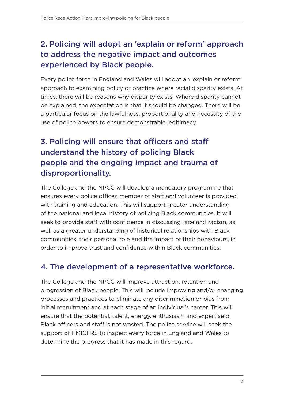### 2. Policing will adopt an 'explain or reform' approach to address the negative impact and outcomes experienced by Black people.

Every police force in England and Wales will adopt an 'explain or reform' approach to examining policy or practice where racial disparity exists. At times, there will be reasons why disparity exists. Where disparity cannot be explained, the expectation is that it should be changed. There will be a particular focus on the lawfulness, proportionality and necessity of the use of police powers to ensure demonstrable legitimacy.

### 3. Policing will ensure that officers and staff understand the history of policing Black people and the ongoing impact and trauma of disproportionality.

The College and the NPCC will develop a mandatory programme that ensures every police officer, member of staff and volunteer is provided with training and education. This will support greater understanding of the national and local history of policing Black communities. It will seek to provide staff with confidence in discussing race and racism, as well as a greater understanding of historical relationships with Black communities, their personal role and the impact of their behaviours, in order to improve trust and confidence within Black communities.

### 4. The development of a representative workforce.

The College and the NPCC will improve attraction, retention and progression of Black people. This will include improving and/or changing processes and practices to eliminate any discrimination or bias from initial recruitment and at each stage of an individual's career. This will ensure that the potential, talent, energy, enthusiasm and expertise of Black officers and staff is not wasted. The police service will seek the support of HMICFRS to inspect every force in England and Wales to determine the progress that it has made in this regard.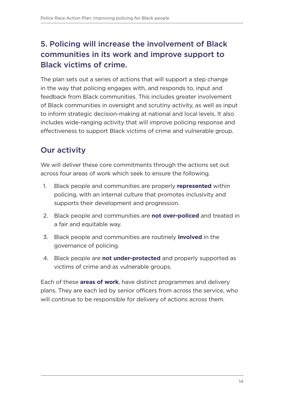### 5. Policing will increase the involvement of Black communities in its work and improve support to Black victims of crime.

The plan sets out a series of actions that will support a step change in the way that policing engages with, and responds to, input and feedback from Black communities. This includes greater involvement of Black communities in oversight and scrutiny activity, as well as input to inform strategic decision-making at national and local levels. It also includes wide-ranging activity that will improve policing response and effectiveness to support Black victims of crime and vulnerable group.

### Our activity

We will deliver these core commitments through the actions set out across four areas of work which seek to ensure the following.

- 1. Black people and communities are properly **represented** within policing, with an internal culture that promotes inclusivity and supports their development and progression.
- 2. Black people and communities are **not over-policed** and treated in a fair and equitable way.
- 3. Black people and communities are routinely **involved** in the governance of policing.
- 4. Black people are **not under-protected** and properly supported as victims of crime and as vulnerable groups.

Each of these **areas of work**, have distinct programmes and delivery plans. They are each led by senior officers from across the service, who will continue to be responsible for delivery of actions across them.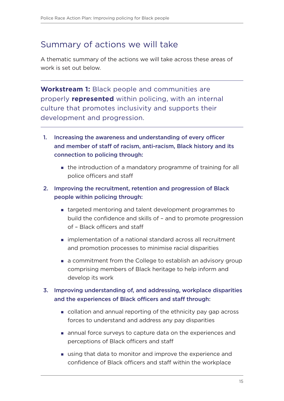### Summary of actions we will take

A thematic summary of the actions we will take across these areas of work is set out below.

**Workstream 1:** Black people and communities are properly **represented** within policing, with an internal culture that promotes inclusivity and supports their development and progression.

- 1. Increasing the awareness and understanding of every officer and member of staff of racism, anti-racism, Black history and its connection to policing through:
	- the introduction of a mandatory programme of training for all police officers and staff

#### 2. Improving the recruitment, retention and progression of Black people within policing through:

- targeted mentoring and talent development programmes to build the confidence and skills of – and to promote progression of – Black officers and staff
- implementation of a national standard across all recruitment and promotion processes to minimise racial disparities
- a commitment from the College to establish an advisory group comprising members of Black heritage to help inform and develop its work

#### 3. Improving understanding of, and addressing, workplace disparities and the experiences of Black officers and staff through:

- collation and annual reporting of the ethnicity pay gap across forces to understand and address any pay disparities
- annual force surveys to capture data on the experiences and perceptions of Black officers and staff
- using that data to monitor and improve the experience and confidence of Black officers and staff within the workplace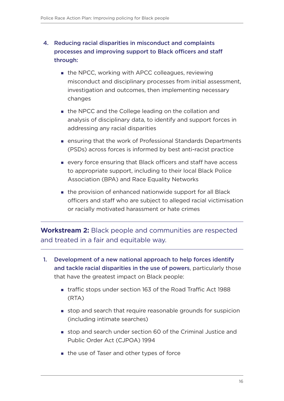### 4. Reducing racial disparities in misconduct and complaints processes and improving support to Black officers and staff through:

- the NPCC, working with APCC colleagues, reviewing misconduct and disciplinary processes from initial assessment, investigation and outcomes, then implementing necessary changes
- the NPCC and the College leading on the collation and analysis of disciplinary data, to identify and support forces in addressing any racial disparities
- ensuring that the work of Professional Standards Departments (PSDs) across forces is informed by best anti-racist practice
- every force ensuring that Black officers and staff have access to appropriate support, including to their local Black Police Association (BPA) and Race Equality Networks
- the provision of enhanced nationwide support for all Black officers and staff who are subject to alleged racial victimisation or racially motivated harassment or hate crimes

**Workstream 2:** Black people and communities are respected and treated in a fair and equitable way.

- 1. Development of a new national approach to help forces identify and tackle racial disparities in the use of powers, particularly those that have the greatest impact on Black people:
	- traffic stops under section 163 of the Road Traffic Act 1988 (RTA)
	- stop and search that require reasonable grounds for suspicion (including intimate searches)
	- stop and search under section 60 of the Criminal Justice and Public Order Act (CJPOA) 1994
	- the use of Taser and other types of force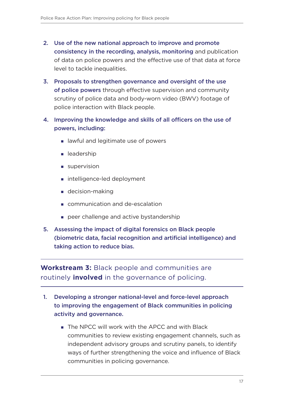- 2. Use of the new national approach to improve and promote consistency in the recording, analysis, monitoring and publication of data on police powers and the effective use of that data at force level to tackle inequalities.
- 3. Proposals to strengthen governance and oversight of the use of police powers through effective supervision and community scrutiny of police data and body-worn video (BWV) footage of police interaction with Black people.
- 4. Improving the knowledge and skills of all officers on the use of powers, including:
	- **I** lawful and legitimate use of powers
	- **e** leadership
	- supervision
	- intelligence-led deployment
	- **decision-making**
	- communication and de-escalation
	- peer challenge and active bystandership
- 5. Assessing the impact of digital forensics on Black people (biometric data, facial recognition and artificial intelligence) and taking action to reduce bias.

**Workstream 3:** Black people and communities are routinely **involved** in the governance of policing.

- 1. Developing a stronger national-level and force-level approach to improving the engagement of Black communities in policing activity and governance.
	- The NPCC will work with the APCC and with Black communities to review existing engagement channels, such as independent advisory groups and scrutiny panels, to identify ways of further strengthening the voice and influence of Black communities in policing governance.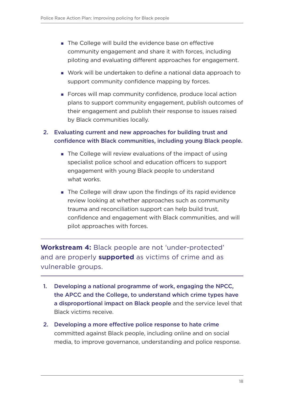- The College will build the evidence base on effective community engagement and share it with forces, including piloting and evaluating different approaches for engagement.
- Work will be undertaken to define a national data approach to support community confidence mapping by forces.
- Forces will map community confidence, produce local action plans to support community engagement, publish outcomes of their engagement and publish their response to issues raised by Black communities locally.

#### 2. Evaluating current and new approaches for building trust and confidence with Black communities, including young Black people.

- The College will review evaluations of the impact of using specialist police school and education officers to support engagement with young Black people to understand what works.
- The College will draw upon the findings of its rapid evidence review looking at whether approaches such as community trauma and reconciliation support can help build trust, confidence and engagement with Black communities, and will pilot approaches with forces.

**Workstream 4:** Black people are not 'under-protected' and are properly **supported** as victims of crime and as vulnerable groups.

- 1. Developing a national programme of work, engaging the NPCC, the APCC and the College, to understand which crime types have a disproportional impact on Black people and the service level that Black victims receive.
- 2. Developing a more effective police response to hate crime committed against Black people, including online and on social media, to improve governance, understanding and police response.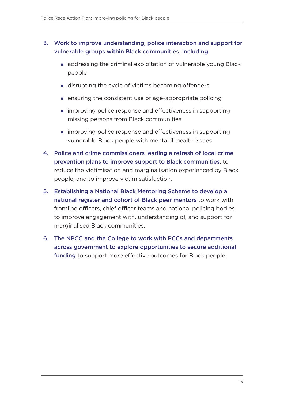#### 3. Work to improve understanding, police interaction and support for vulnerable groups within Black communities, including:

- addressing the criminal exploitation of vulnerable young Black people
- disrupting the cycle of victims becoming offenders
- ensuring the consistent use of age-appropriate policing
- **n** improving police response and effectiveness in supporting missing persons from Black communities
- **n** improving police response and effectiveness in supporting vulnerable Black people with mental ill health issues
- 4. Police and crime commissioners leading a refresh of local crime prevention plans to improve support to Black communities, to reduce the victimisation and marginalisation experienced by Black people, and to improve victim satisfaction.
- 5. Establishing a National Black Mentoring Scheme to develop a national register and cohort of Black peer mentors to work with frontline officers, chief officer teams and national policing bodies to improve engagement with, understanding of, and support for marginalised Black communities.
- 6. The NPCC and the College to work with PCCs and departments across government to explore opportunities to secure additional funding to support more effective outcomes for Black people.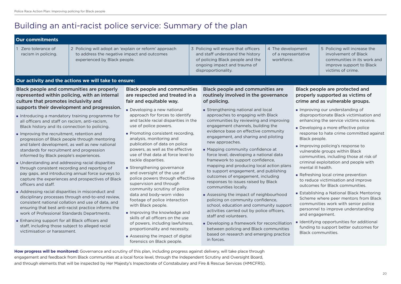- Addressing racial disparities in misconduct and disciplinary processes through end-to-end review, consistent national collation and use of data, and ensuring that best anti-racist practice informs the work of Professional Standards Departments.
- **Enhancing support for all Black officers and** staff, including those subject to alleged racial victimisation or harassment.
- **Improving the knowledge and** skills of all officers on the use of powers, including lawfulness, proportionality and necessity.

footage of police interaction

with Black people.

**How progress will be monitored:** Governance and scrutiny of this plan, including progress against delivery, will take place through engagement and feedback from Black communities at a local force level, through the Independent Scrutiny and Oversight Board, and through elements that will be inspected by Her Majesty's Inspectorate of Constabulary and Fire & Rescue Services (HMICFRS).

#### **Our activity and the actions we will take to ensure:** Black people and communities are properly represented within policing, with an internal culture that promotes inclusivity and supports their development and progression. Introducing a mandatory training programme for all officers and staff on racism, anti-racism, Black history and its connection to policing. **Improving the recruitment, retention and** progression of Black people through mentoring and talent development, as well as new national standards for recruitment and progression informed by Black people's experiences. Understanding and addressing racial disparities through consistent recording and reporting of pay gaps, and introducing annual force surveys to capture the experiences and prospectives of Black officers and staff. Black people and communities are respected and treated in a fair and equitable way. Developing a new national approach for forces to identify and tackle racial disparities in the use of police powers. **Promoting consistent recording,** analysis, monitoring and publication of data on police powers, as well as the effective use of that data at force level to tackle disparities. **Strengthening governance** and oversight of the use of police powers through effective supervision and through community scrutiny of police data and body-worn video **Our commitments** 1 Zero tolerance of racism in policing. 2 Policing will adopt an 'explain or reform' approach to address the negative impact and outcomes experienced by Black people. 3 Policing will ensure that officers and staff understand the history of policing Black people and the ongoing impact and trauma of disproportionality. 4 The developm of a representa workforce. involvement of Black victims of crime. Black people and communities are routinely involved in the governance of policing. **Strengthening national and local** approaches to engaging with Black communities by reviewing and improving engagement channels, building the evidence base on effective community engagement, and sharing and piloting new approaches. **Mapping community confidence at** force level, developing a national data framework to support confidence, mapping and producing local action plans to support engagement, and publishing outcomes of engagement, including responses to issues raised by Black communities locally. Black people are protected and properly supported as victims of crime and as vulnerable groups. **Improving our understanding of** enhancing the service victims receive. Developing a more effective police Black people. Improving policing's response to vulnerable groups within Black criminal exploitation and people with mental ill health. Refreshing local crime prevention to reduce victimisation and improve outcomes for Black communities.

**Establishing a National Black Mentoring** Scheme where peer mentors from Black communities work with senior police personnel to improve understanding and engagement.

**I** Identifying opportunities for additional funding to support better outcomes for Black communities.

| 5 Policing will increase the<br>ent<br>involvement of Black<br>ative<br>communities in its work and<br>improve support to Black |                   |
|---------------------------------------------------------------------------------------------------------------------------------|-------------------|
|                                                                                                                                 | victims of crime. |

- Assessing the impact of digital forensics on Black people.
- Assessing the impact of neighbourhood policing on community confidence, school, education and community support activities carried out by police officers, staff and volunteers.
- Developing a framework for reconcilliation between policing and Black communities based on research and emerging practice in forces.

# <span id="page-21-0"></span>Building an anti-racist police service: Summary of the plan

disproportionate Black victimisation and

response to hate crime committed against

communities, including those at risk of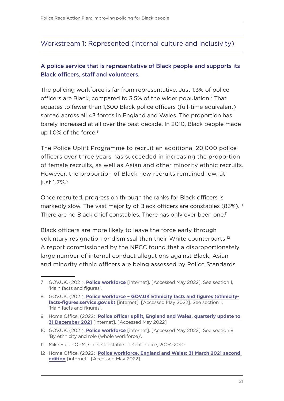### <span id="page-22-0"></span>Workstream 1: Represented (Internal culture and inclusivity)

#### A police service that is representative of Black people and supports its Black officers, staff and volunteers.

The policing workforce is far from representative. Just 1.3% of police officers are Black, compared to 3.5% of the wider population.7 That equates to fewer than 1,600 Black police officers (full-time equivalent) spread across all 43 forces in England and Wales. The proportion has barely increased at all over the past decade. In 2010, Black people made up 1.0% of the force.<sup>8</sup>

The Police Uplift Programme to recruit an additional 20,000 police officers over three years has succeeded in increasing the proportion of female recruits, as well as Asian and other minority ethnic recruits. However, the proportion of Black new recruits remained low, at just 1.7%.<sup>9</sup>

Once recruited, progression through the ranks for Black officers is markedly slow. The vast majority of Black officers are constables (83%).<sup>10</sup> There are no Black chief constables. There has only ever been one.<sup>11</sup>

Black officers are more likely to leave the force early through voluntary resignation or dismissal than their White counterparts.<sup>12</sup> A report commissioned by the NPCC found that a disproportionately large number of internal conduct allegations against Black, Asian and minority ethnic officers are being assessed by Police Standards

<sup>7</sup> GOV.UK. (2021). **[Police workforce](https://www.ethnicity-facts-figures.service.gov.uk/workforce-and-business/workforce-diversity/police-workforce/latest#main-facts-and-figures)** [internet]. [Accessed May 2022]. See section 1, 'Main facts and figures'.

<sup>8</sup> GOV.UK. (2021). **[Police workforce – GOV.UK Ethnicity facts and figures \(ethnicity](https://www.ethnicity-facts-figures.service.gov.uk/workforce-and-business/workforce-diversity/police-workforce/latest#main-facts-and-figures)[facts-figures.service.gov.uk\)](https://www.ethnicity-facts-figures.service.gov.uk/workforce-and-business/workforce-diversity/police-workforce/latest#main-facts-and-figures)** [internet]. [Accessed May 2022]. See section 1, 'Main facts and figures'.

<sup>9</sup> Home Office. (2022). **[Police officer uplift, England and Wales, quarterly update to](https://www.gov.uk/government/statistics/police-officer-uplift-quarterly-update-to-december-2021/police-officer-uplift-england-and-wales-quarterly-update-to-31-december-2021)  [31 December 2021](https://www.gov.uk/government/statistics/police-officer-uplift-quarterly-update-to-december-2021/police-officer-uplift-england-and-wales-quarterly-update-to-31-december-2021)** [internet]. [Accessed May 2022]

<sup>10</sup> GOV.UK. (2021). **[Police workforce](https://www.ethnicity-facts-figures.service.gov.uk/workforce-and-business/workforce-diversity/police-workforce/latest#by-ethnicity-and-role-whole-workforce)** [internet]. [Accessed May 2022]. See section 8, 'By ethnicity and role (whole workforce)'.

<sup>11</sup> Mike Fuller QPM, Chief Constable of Kent Police, 2004-2010.

<sup>12</sup> Home Office. (2022). **[Police workforce, England and Wales: 31 March 2021 second](https://www.gov.uk/government/statistics/police-workforce-england-and-wales-31-march-2021/police-workforce-england-and-wales-31-march-2021)  [edition](https://www.gov.uk/government/statistics/police-workforce-england-and-wales-31-march-2021/police-workforce-england-and-wales-31-march-2021)** [internet]. [Accessed May 2022]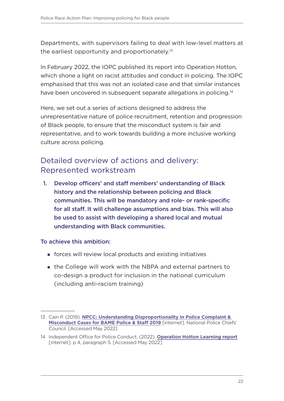Departments, with supervisors failing to deal with low-level matters at the earliest opportunity and proportionately.<sup>13</sup>

In February 2022, the IOPC published its report into Operation Hotton, which shone a light on racist attitudes and conduct in policing. The IOPC emphasised that this was not an isolated case and that similar instances have been uncovered in subsequent separate allegations in policing.<sup>14</sup>

Here, we set out a series of actions designed to address the unrepresentative nature of police recruitment, retention and progression of Black people, to ensure that the misconduct system is fair and representative, and to work towards building a more inclusive working culture across policing.

### Detailed overview of actions and delivery: Represented workstream

1. Develop officers' and staff members' understanding of Black history and the relationship between policing and Black communities. This will be mandatory and role- or rank-specific for all staff. It will challenge assumptions and bias. This will also be used to assist with developing a shared local and mutual understanding with Black communities.

- forces will review local products and existing initiatives
- the College will work with the NBPA and external partners to co-design a product for inclusion in the national curriculum (including anti-racism training)

<sup>13</sup> Cain P. (2019). **[NPCC: Understanding Disproportionality in Police Complaint &](https://www.npcc.police.uk/documents/NPCC%20Understanding%20Disproportionality%20in%20Police%20Complaint%20Misconduct%20Cases%20for%20BAME%20Police%20Officers%20and%20Staff%202019.pdf)  [Misconduct Cases for BAME Police & Staff 2019](https://www.npcc.police.uk/documents/NPCC%20Understanding%20Disproportionality%20in%20Police%20Complaint%20Misconduct%20Cases%20for%20BAME%20Police%20Officers%20and%20Staff%202019.pdf)** [internet]. National Police Chiefs' Council. [Accessed May 2022]

<sup>14</sup> Independent Office for Police Conduct. (2022). **[Operation Hotton Learning report](https://www.policeconduct.gov.uk/sites/default/files/Operation%20Hotton%20Learning%20report%20-%20January%202022.pdf)** [internet]. p 4, paragraph 5. [Accessed May 2022]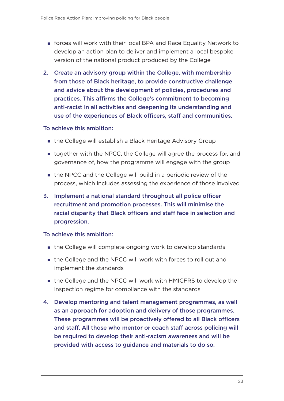- forces will work with their local BPA and Race Equality Network to develop an action plan to deliver and implement a local bespoke version of the national product produced by the College
- 2. Create an advisory group within the College, with membership from those of Black heritage, to provide constructive challenge and advice about the development of policies, procedures and practices. This affirms the College's commitment to becoming anti-racist in all activities and deepening its understanding and use of the experiences of Black officers, staff and communities.

- the College will establish a Black Heritage Advisory Group
- **t** together with the NPCC, the College will agree the process for, and governance of, how the programme will engage with the group
- the NPCC and the College will build in a periodic review of the process, which includes assessing the experience of those involved
- 3. Implement a national standard throughout all police officer recruitment and promotion processes. This will minimise the racial disparity that Black officers and staff face in selection and progression.

- the College will complete ongoing work to develop standards
- the College and the NPCC will work with forces to roll out and implement the standards
- the College and the NPCC will work with HMICFRS to develop the inspection regime for compliance with the standards
- 4. Develop mentoring and talent management programmes, as well as an approach for adoption and delivery of those programmes. These programmes will be proactively offered to all Black officers and staff. All those who mentor or coach staff across policing will be required to develop their anti-racism awareness and will be provided with access to guidance and materials to do so.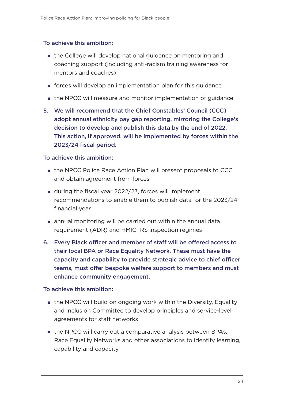- the College will develop national guidance on mentoring and coaching support (including anti-racism training awareness for mentors and coaches)
- forces will develop an implementation plan for this guidance
- the NPCC will measure and monitor implementation of guidance
- 5. We will recommend that the Chief Constables' Council (CCC) adopt annual ethnicity pay gap reporting, mirroring the College's decision to develop and publish this data by the end of 2022. This action, if approved, will be implemented by forces within the 2023/24 fiscal period.

#### To achieve this ambition:

- the NPCC Police Race Action Plan will present proposals to CCC and obtain agreement from forces
- during the fiscal year 2022/23, forces will implement recommendations to enable them to publish data for the 2023/24 financial year
- annual monitoring will be carried out within the annual data requirement (ADR) and HMICFRS inspection regimes
- 6. Every Black officer and member of staff will be offered access to their local BPA or Race Equality Network. These must have the capacity and capability to provide strategic advice to chief officer teams, must offer bespoke welfare support to members and must enhance community engagement.

- **the NPCC will build on ongoing work within the Diversity, Equality** and Inclusion Committee to develop principles and service-level agreements for staff networks
- the NPCC will carry out a comparative analysis between BPAs, Race Equality Networks and other associations to identify learning, capability and capacity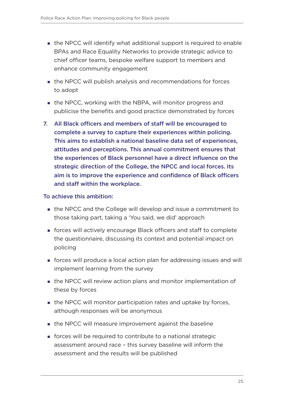- the NPCC will identify what additional support is required to enable BPAs and Race Equality Networks to provide strategic advice to chief officer teams, bespoke welfare support to members and enhance community engagement
- the NPCC will publish analysis and recommendations for forces to adopt
- **the NPCC, working with the NBPA, will monitor progress and** publicise the benefits and good practice demonstrated by forces
- 7. All Black officers and members of staff will be encouraged to complete a survey to capture their experiences within policing. This aims to establish a national baseline data set of experiences, attitudes and perceptions. This annual commitment ensures that the experiences of Black personnel have a direct influence on the strategic direction of the College, the NPCC and local forces. Its aim is to improve the experience and confidence of Black officers and staff within the workplace.

- the NPCC and the College will develop and issue a commitment to those taking part, taking a 'You said, we did' approach
- forces will actively encourage Black officers and staff to complete the questionnaire, discussing its context and potential impact on policing
- forces will produce a local action plan for addressing issues and will implement learning from the survey
- the NPCC will review action plans and monitor implementation of these by forces
- the NPCC will monitor participation rates and uptake by forces, although responses will be anonymous
- **the NPCC will measure improvement against the baseline**
- forces will be required to contribute to a national strategic assessment around race – this survey baseline will inform the assessment and the results will be published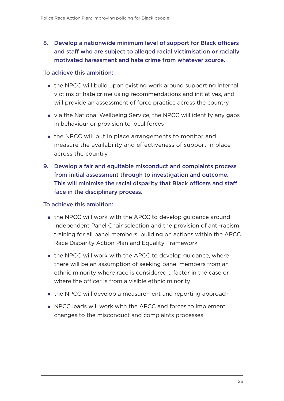#### 8. Develop a nationwide minimum level of support for Black officers and staff who are subject to alleged racial victimisation or racially motivated harassment and hate crime from whatever source.

#### To achieve this ambition:

- the NPCC will build upon existing work around supporting internal victims of hate crime using recommendations and initiatives, and will provide an assessment of force practice across the country
- via the National Wellbeing Service, the NPCC will identify any gaps in behaviour or provision to local forces
- the NPCC will put in place arrangements to monitor and measure the availability and effectiveness of support in place across the country
- 9. Develop a fair and equitable misconduct and complaints process from initial assessment through to investigation and outcome. This will minimise the racial disparity that Black officers and staff face in the disciplinary process.

- the NPCC will work with the APCC to develop quidance around Independent Panel Chair selection and the provision of anti-racism training for all panel members, building on actions within the APCC Race Disparity Action Plan and Equality Framework
- the NPCC will work with the APCC to develop guidance, where there will be an assumption of seeking panel members from an ethnic minority where race is considered a factor in the case or where the officer is from a visible ethnic minority
- **the NPCC will develop a measurement and reporting approach**
- **NPCC leads will work with the APCC and forces to implement** changes to the misconduct and complaints processes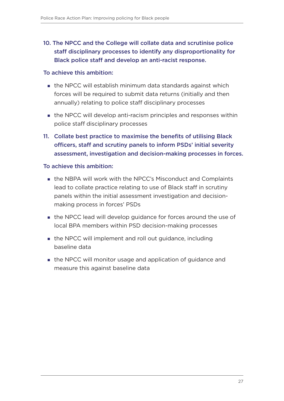### 10. The NPCC and the College will collate data and scrutinise police staff disciplinary processes to identify any disproportionality for Black police staff and develop an anti-racist response.

#### To achieve this ambition:

- the NPCC will establish minimum data standards against which forces will be required to submit data returns (initially and then annually) relating to police staff disciplinary processes
- the NPCC will develop anti-racism principles and responses within police staff disciplinary processes
- 11. Collate best practice to maximise the benefits of utilising Black officers, staff and scrutiny panels to inform PSDs' initial severity assessment, investigation and decision-making processes in forces.

- the NBPA will work with the NPCC's Misconduct and Complaints lead to collate practice relating to use of Black staff in scrutiny panels within the initial assessment investigation and decisionmaking process in forces' PSDs
- the NPCC lead will develop guidance for forces around the use of local BPA members within PSD decision-making processes
- the NPCC will implement and roll out guidance, including baseline data
- the NPCC will monitor usage and application of guidance and measure this against baseline data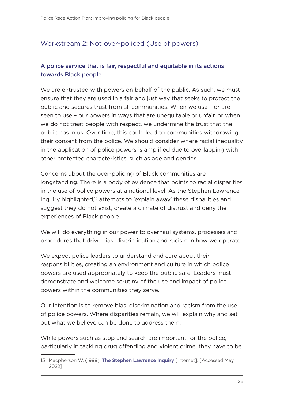#### <span id="page-29-0"></span>Workstream 2: Not over-policed (Use of powers)

#### A police service that is fair, respectful and equitable in its actions towards Black people.

We are entrusted with powers on behalf of the public. As such, we must ensure that they are used in a fair and just way that seeks to protect the public and secures trust from all communities. When we use – or are seen to use – our powers in ways that are unequitable or unfair, or when we do not treat people with respect, we undermine the trust that the public has in us. Over time, this could lead to communities withdrawing their consent from the police. We should consider where racial inequality in the application of police powers is amplified due to overlapping with other protected characteristics, such as age and gender.

Concerns about the over-policing of Black communities are longstanding. There is a body of evidence that points to racial disparities in the use of police powers at a national level. As the Stephen Lawrence Inquiry highlighted,15 attempts to 'explain away' these disparities and suggest they do not exist, create a climate of distrust and deny the experiences of Black people.

We will do everything in our power to overhaul systems, processes and procedures that drive bias, discrimination and racism in how we operate.

We expect police leaders to understand and care about their responsibilities, creating an environment and culture in which police powers are used appropriately to keep the public safe. Leaders must demonstrate and welcome scrutiny of the use and impact of police powers within the communities they serve.

Our intention is to remove bias, discrimination and racism from the use of police powers. Where disparities remain, we will explain why and set out what we believe can be done to address them.

While powers such as stop and search are important for the police, particularly in tackling drug offending and violent crime, they have to be

<sup>15</sup> Macpherson W. (1999). **[The Stephen Lawrence Inquiry](https://assets.publishing.service.gov.uk/government/uploads/system/uploads/attachment_data/file/277111/4262.pdf)** [internet]. [Accessed May 2022]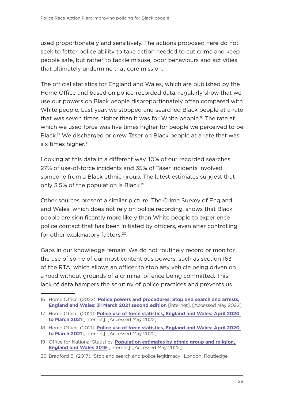used proportionately and sensitively. The actions proposed here do not seek to fetter police ability to take action needed to cut crime and keep people safe, but rather to tackle misuse, poor behaviours and activities that ultimately undermine that core mission.

The official statistics for England and Wales, which are published by the Home Office and based on police-recorded data, regularly show that we use our powers on Black people disproportionately often compared with White people. Last year, we stopped and searched Black people at a rate that was seven times higher than it was for White people.<sup>16</sup> The rate at which we used force was five times higher for people we perceived to be Black.17 We discharged or drew Taser on Black people at a rate that was six times higher. $18$ 

Looking at this data in a different way, 10% of our recorded searches, 27% of use-of-force incidents and 35% of Taser incidents involved someone from a Black ethnic group. The latest estimates suggest that only 3.5% of the population is Black.<sup>19</sup>

Other sources present a similar picture. The Crime Survey of England and Wales, which does not rely on police recording, shows that Black people are significantly more likely than White people to experience police contact that has been initiated by officers, even after controlling for other explanatory factors.<sup>20</sup>

Gaps in our knowledge remain. We do not routinely record or monitor the use of some of our most contentious powers, such as section 163 of the RTA, which allows an officer to stop any vehicle being driven on a road without grounds of a criminal offence being committed. This lack of data hampers the scrutiny of police practices and prevents us

<sup>16</sup> Home Office. (2022). **[Police powers and procedures: Stop and search and arrests,](https://www.gov.uk/government/statistics/police-powers-and-procedures-stop-and-search-and-arrests-england-and-wales-year-ending-31-march-2021/police-powers-and-procedures-stop-and-search-and-arrests-england-and-wales-year-ending-31-march-2021)  [England and Wales: 31 March 2021 second edition](https://www.gov.uk/government/statistics/police-powers-and-procedures-stop-and-search-and-arrests-england-and-wales-year-ending-31-march-2021/police-powers-and-procedures-stop-and-search-and-arrests-england-and-wales-year-ending-31-march-2021)** [internet]. [Accessed May 2022]

<sup>17</sup> Home Office. (2021). **[Police use of force statistics, England and Wales: April 2020](https://www.gov.uk/government/statistics/police-use-of-force-statistics-england-and-wales-april-2020-to-march-2021/police-use-of-force-statistics-england-and-wales-april-2020-to-march-2021)  [to March 2021](https://www.gov.uk/government/statistics/police-use-of-force-statistics-england-and-wales-april-2020-to-march-2021/police-use-of-force-statistics-england-and-wales-april-2020-to-march-2021)** [internet]. [Accessed May 2022]

<sup>18</sup> Home Office. (2021). **[Police use of force statistics, England and Wales: April 2020](https://www.gov.uk/government/statistics/police-use-of-force-statistics-england-and-wales-april-2020-to-march-2021/police-use-of-force-statistics-england-and-wales-april-2020-to-march-2021)  [to March 2021](https://www.gov.uk/government/statistics/police-use-of-force-statistics-england-and-wales-april-2020-to-march-2021/police-use-of-force-statistics-england-and-wales-april-2020-to-march-2021)** [internet]. [Accessed May 2022]

<sup>19</sup> Office for National Statistics. **[Population estimates by ethnic group and religion,](https://www.ons.gov.uk/peoplepopulationandcommunity/populationandmigration/populationestimates/articles/populationestimatesbyethnicgroupandreligionenglandandwales/2019)  [England and Wales 2019](https://www.ons.gov.uk/peoplepopulationandcommunity/populationandmigration/populationestimates/articles/populationestimatesbyethnicgroupandreligionenglandandwales/2019)** [internet]. [Accessed May 2022]

<sup>20</sup> Bradford B. (2017). 'Stop and search and police legitimacy'. London: Routledge.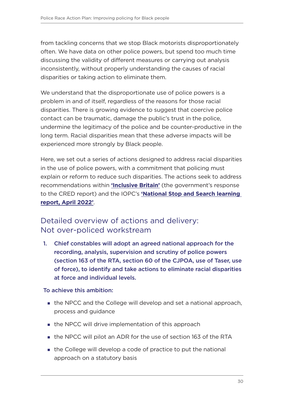from tackling concerns that we stop Black motorists disproportionately often. We have data on other police powers, but spend too much time discussing the validity of different measures or carrying out analysis inconsistently, without properly understanding the causes of racial disparities or taking action to eliminate them.

We understand that the disproportionate use of police powers is a problem in and of itself, regardless of the reasons for those racial disparities. There is growing evidence to suggest that coercive police contact can be traumatic, damage the public's trust in the police, undermine the legitimacy of the police and be counter-productive in the long term. Racial disparities mean that these adverse impacts will be experienced more strongly by Black people.

Here, we set out a series of actions designed to address racial disparities in the use of police powers, with a commitment that policing must explain or reform to reduce such disparities. The actions seek to address recommendations within **['Inclusive Britain'](https://www.gov.uk/government/publications/inclusive-britain-action-plan-government-response-to-the-commission-on-race-and-ethnic-disparities/inclusive-britain-government-response-to-the-commission-on-race-and-ethnic-disparities)** (the government's response to the CRED report) and the IOPC's **['National Stop and Search learning](https://www.policeconduct.gov.uk/national-stop-and-search-learning-report-april-2022)  [report, April 2022'](https://www.policeconduct.gov.uk/national-stop-and-search-learning-report-april-2022)**.

### Detailed overview of actions and delivery: Not over-policed workstream

1. Chief constables will adopt an agreed national approach for the recording, analysis, supervision and scrutiny of police powers (section 163 of the RTA, section 60 of the CJPOA, use of Taser, use of force), to identify and take actions to eliminate racial disparities at force and individual levels.

- **the NPCC and the College will develop and set a national approach,** process and guidance
- the NPCC will drive implementation of this approach
- the NPCC will pilot an ADR for the use of section 163 of the RTA
- the College will develop a code of practice to put the national approach on a statutory basis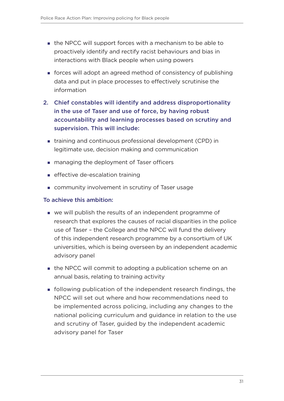- the NPCC will support forces with a mechanism to be able to proactively identify and rectify racist behaviours and bias in interactions with Black people when using powers
- forces will adopt an agreed method of consistency of publishing data and put in place processes to effectively scrutinise the information
- 2. Chief constables will identify and address disproportionality in the use of Taser and use of force, by having robust accountability and learning processes based on scrutiny and supervision. This will include:
	- training and continuous professional development (CPD) in legitimate use, decision making and communication
	- **n** managing the deployment of Taser officers
	- **EXECCLE EXECUTE:** effective de-escalation training
	- **Example 1** community involvement in scrutiny of Taser usage

- we will publish the results of an independent programme of research that explores the causes of racial disparities in the police use of Taser – the College and the NPCC will fund the delivery of this independent research programme by a consortium of UK universities, which is being overseen by an independent academic advisory panel
- **the NPCC will commit to adopting a publication scheme on an** annual basis, relating to training activity
- **following publication of the independent research findings, the** NPCC will set out where and how recommendations need to be implemented across policing, including any changes to the national policing curriculum and guidance in relation to the use and scrutiny of Taser, guided by the independent academic advisory panel for Taser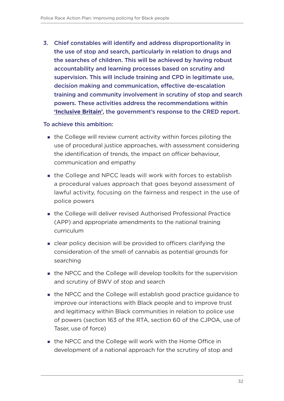3. Chief constables will identify and address disproportionality in the use of stop and search, particularly in relation to drugs and the searches of children. This will be achieved by having robust accountability and learning processes based on scrutiny and supervision. This will include training and CPD in legitimate use, decision making and communication, effective de-escalation training and community involvement in scrutiny of stop and search powers. These activities address the recommendations within **['Inclusive Britain'](https://www.gov.uk/government/publications/inclusive-britain-action-plan-government-response-to-the-commission-on-race-and-ethnic-disparities/inclusive-britain-government-response-to-the-commission-on-race-and-ethnic-disparities)**, the government's response to the CRED report.

- the College will review current activity within forces piloting the use of procedural justice approaches, with assessment considering the identification of trends, the impact on officer behaviour, communication and empathy
- the College and NPCC leads will work with forces to establish a procedural values approach that goes beyond assessment of lawful activity, focusing on the fairness and respect in the use of police powers
- the College will deliver revised Authorised Professional Practice (APP) and appropriate amendments to the national training curriculum
- clear policy decision will be provided to officers clarifying the consideration of the smell of cannabis as potential grounds for searching
- **the NPCC and the College will develop toolkits for the supervision** and scrutiny of BWV of stop and search
- the NPCC and the College will establish good practice guidance to improve our interactions with Black people and to improve trust and legitimacy within Black communities in relation to police use of powers (section 163 of the RTA, section 60 of the CJPOA, use of Taser, use of force)
- the NPCC and the College will work with the Home Office in development of a national approach for the scrutiny of stop and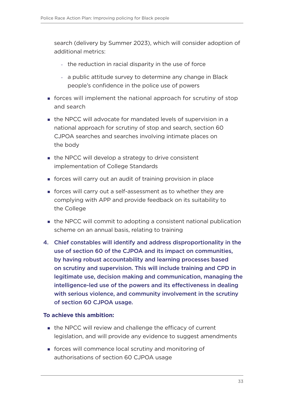search (delivery by Summer 2023), which will consider adoption of additional metrics:

- the reduction in racial disparity in the use of force
- a public attitude survey to determine any change in Black people's confidence in the police use of powers
- forces will implement the national approach for scrutiny of stop and search
- the NPCC will advocate for mandated levels of supervision in a national approach for scrutiny of stop and search, section 60 CJPOA searches and searches involving intimate places on the body
- the NPCC will develop a strategy to drive consistent implementation of College Standards
- forces will carry out an audit of training provision in place
- forces will carry out a self-assessment as to whether they are complying with APP and provide feedback on its suitability to the College
- the NPCC will commit to adopting a consistent national publication scheme on an annual basis, relating to training
- 4. Chief constables will identify and address disproportionality in the use of section 60 of the CJPOA and its impact on communities, by having robust accountability and learning processes based on scrutiny and supervision. This will include training and CPD in legitimate use, decision making and communication, managing the intelligence-led use of the powers and its effectiveness in dealing with serious violence, and community involvement in the scrutiny of section 60 CJPOA usage.

- the NPCC will review and challenge the efficacy of current legislation, and will provide any evidence to suggest amendments
- forces will commence local scrutiny and monitoring of authorisations of section 60 CJPOA usage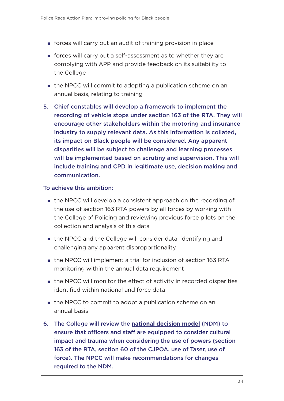- forces will carry out an audit of training provision in place
- forces will carry out a self-assessment as to whether they are complying with APP and provide feedback on its suitability to the College
- **the NPCC will commit to adopting a publication scheme on an** annual basis, relating to training
- 5. Chief constables will develop a framework to implement the recording of vehicle stops under section 163 of the RTA. They will encourage other stakeholders within the motoring and insurance industry to supply relevant data. As this information is collated, its impact on Black people will be considered. Any apparent disparities will be subject to challenge and learning processes will be implemented based on scrutiny and supervision. This will include training and CPD in legitimate use, decision making and communication.

- the NPCC will develop a consistent approach on the recording of the use of section 163 RTA powers by all forces by working with the College of Policing and reviewing previous force pilots on the collection and analysis of this data
- the NPCC and the College will consider data, identifying and challenging any apparent disproportionality
- the NPCC will implement a trial for inclusion of section 163 RTA monitoring within the annual data requirement
- the NPCC will monitor the effect of activity in recorded disparities identified within national and force data
- the NPCC to commit to adopt a publication scheme on an annual basis
- 6. The College will review the **[national decision model](https://www.college.police.uk/app/national-decision-model)** (NDM) to ensure that officers and staff are equipped to consider cultural impact and trauma when considering the use of powers (section 163 of the RTA, section 60 of the CJPOA, use of Taser, use of force). The NPCC will make recommendations for changes required to the NDM.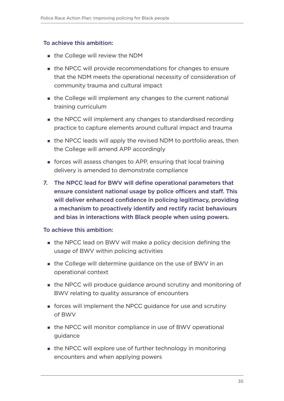- **the College will review the NDM**
- the NPCC will provide recommendations for changes to ensure that the NDM meets the operational necessity of consideration of community trauma and cultural impact
- the College will implement any changes to the current national training curriculum
- the NPCC will implement any changes to standardised recording practice to capture elements around cultural impact and trauma
- **the NPCC leads will apply the revised NDM to portfolio areas, then** the College will amend APP accordingly
- forces will assess changes to APP, ensuring that local training delivery is amended to demonstrate compliance
- 7. The NPCC lead for BWV will define operational parameters that ensure consistent national usage by police officers and staff. This will deliver enhanced confidence in policing legitimacy, providing a mechanism to proactively identify and rectify racist behaviours and bias in interactions with Black people when using powers.

- the NPCC lead on BWV will make a policy decision defining the usage of BWV within policing activities
- the College will determine guidance on the use of BWV in an operational context
- the NPCC will produce guidance around scrutiny and monitoring of BWV relating to quality assurance of encounters
- forces will implement the NPCC guidance for use and scrutiny of BWV
- the NPCC will monitor compliance in use of BWV operational guidance
- the NPCC will explore use of further technology in monitoring encounters and when applying powers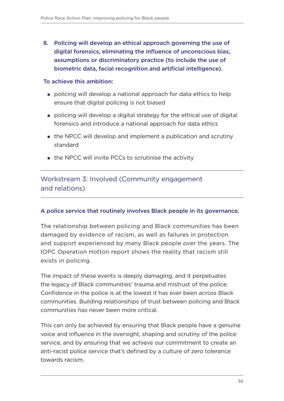<span id="page-37-0"></span>8. Policing will develop an ethical approach governing the use of digital forensics, eliminating the influence of unconscious bias, assumptions or discriminatory practice (to include the use of biometric data, facial recognition and artificial intelligence).

#### To achieve this ambition:

- policing will develop a national approach for data ethics to help ensure that digital policing is not biased
- policing will develop a digital strategy for the ethical use of digital forensics and introduce a national approach for data ethics
- the NPCC will develop and implement a publication and scrutiny standard
- the NPCC will invite PCCs to scrutinise the activity

Workstream 3: Involved (Community engagement and relations)

#### A police service that routinely involves Black people in its governance.

The relationship between policing and Black communities has been damaged by evidence of racism, as well as failures in protection and support experienced by many Black people over the years. The IOPC Operation Hotton report shows the reality that racism still exists in policing.

The impact of these events is deeply damaging, and it perpetuates the legacy of Black communities' trauma and mistrust of the police. Confidence in the police is at the lowest it has ever been across Black communities. Building relationships of trust between policing and Black communities has never been more critical.

This can only be achieved by ensuring that Black people have a genuine voice and influence in the oversight, shaping and scrutiny of the police service, and by ensuring that we achieve our commitment to create an anti-racist police service that's defined by a culture of zero tolerance towards racism.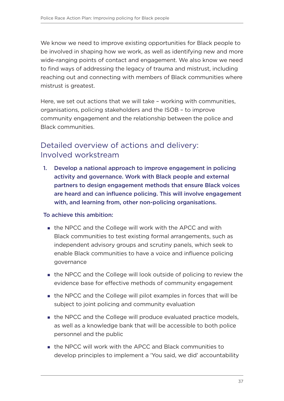We know we need to improve existing opportunities for Black people to be involved in shaping how we work, as well as identifying new and more wide-ranging points of contact and engagement. We also know we need to find ways of addressing the legacy of trauma and mistrust, including reaching out and connecting with members of Black communities where mistrust is greatest.

Here, we set out actions that we will take – working with communities, organisations, policing stakeholders and the ISOB – to improve community engagement and the relationship between the police and Black communities.

### Detailed overview of actions and delivery: Involved workstream

1. Develop a national approach to improve engagement in policing activity and governance. Work with Black people and external partners to design engagement methods that ensure Black voices are heard and can influence policing. This will involve engagement with, and learning from, other non-policing organisations.

- the NPCC and the College will work with the APCC and with Black communities to test existing formal arrangements, such as independent advisory groups and scrutiny panels, which seek to enable Black communities to have a voice and influence policing governance
- the NPCC and the College will look outside of policing to review the evidence base for effective methods of community engagement
- the NPCC and the College will pilot examples in forces that will be subject to joint policing and community evaluation
- **the NPCC and the College will produce evaluated practice models,** as well as a knowledge bank that will be accessible to both police personnel and the public
- the NPCC will work with the APCC and Black communities to develop principles to implement a 'You said, we did' accountability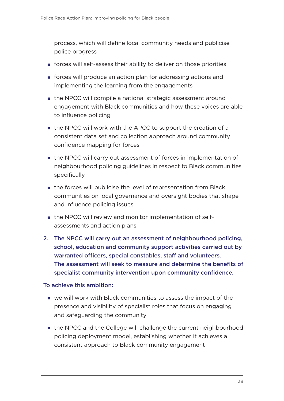process, which will define local community needs and publicise police progress

- forces will self-assess their ability to deliver on those priorities
- forces will produce an action plan for addressing actions and implementing the learning from the engagements
- **the NPCC will compile a national strategic assessment around** engagement with Black communities and how these voices are able to influence policing
- the NPCC will work with the APCC to support the creation of a consistent data set and collection approach around community confidence mapping for forces
- **the NPCC will carry out assessment of forces in implementation of** neighbourhood policing guidelines in respect to Black communities specifically
- **the forces will publicise the level of representation from Black** communities on local governance and oversight bodies that shape and influence policing issues
- **the NPCC will review and monitor implementation of self**assessments and action plans
- 2. The NPCC will carry out an assessment of neighbourhood policing, school, education and community support activities carried out by warranted officers, special constables, staff and volunteers. The assessment will seek to measure and determine the benefits of specialist community intervention upon community confidence.

- we will work with Black communities to assess the impact of the presence and visibility of specialist roles that focus on engaging and safeguarding the community
- the NPCC and the College will challenge the current neighbourhood policing deployment model, establishing whether it achieves a consistent approach to Black community engagement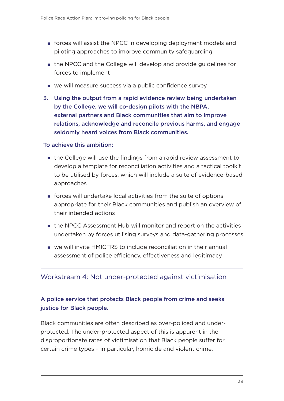- <span id="page-40-0"></span> forces will assist the NPCC in developing deployment models and piloting approaches to improve community safeguarding
- the NPCC and the College will develop and provide guidelines for forces to implement
- we will measure success via a public confidence survey
- 3. Using the output from a rapid evidence review being undertaken by the College, we will co-design pilots with the NBPA, external partners and Black communities that aim to improve relations, acknowledge and reconcile previous harms, and engage seldomly heard voices from Black communities.

- the College will use the findings from a rapid review assessment to develop a template for reconciliation activities and a tactical toolkit to be utilised by forces, which will include a suite of evidence-based approaches
- forces will undertake local activities from the suite of options appropriate for their Black communities and publish an overview of their intended actions
- the NPCC Assessment Hub will monitor and report on the activities undertaken by forces utilising surveys and data-gathering processes
- we will invite HMICFRS to include reconciliation in their annual assessment of police efficiency, effectiveness and legitimacy

#### Workstream 4: Not under-protected against victimisation

#### A police service that protects Black people from crime and seeks justice for Black people.

Black communities are often described as over-policed and underprotected. The under-protected aspect of this is apparent in the disproportionate rates of victimisation that Black people suffer for certain crime types – in particular, homicide and violent crime.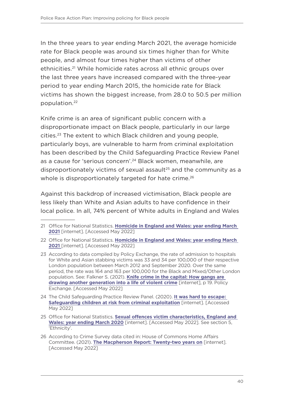In the three years to year ending March 2021, the average homicide rate for Black people was around six times higher than for White people, and almost four times higher than victims of other ethnicities.<sup>21</sup> While homicide rates across all ethnic groups over the last three years have increased compared with the three-year period to year ending March 2015, the homicide rate for Black victims has shown the biggest increase, from 28.0 to 50.5 per million population.22

Knife crime is an area of significant public concern with a disproportionate impact on Black people, particularly in our large cities.23 The extent to which Black children and young people, particularly boys, are vulnerable to harm from criminal exploitation has been described by the Child Safeguarding Practice Review Panel as a cause for 'serious concern'.<sup>24</sup> Black women, meanwhile, are disproportionately victims of sexual assault<sup>25</sup> and the community as a whole is disproportionately targeted for hate crime.<sup>26</sup>

Against this backdrop of increased victimisation, Black people are less likely than White and Asian adults to have confidence in their local police. In all, 74% percent of White adults in England and Wales

<sup>21</sup> Office for National Statistics. **[Homicide in England and Wales: year ending March](https://www.ons.gov.uk/peoplepopulationandcommunity/crimeandjustice/articles/homicideinenglandandwales/yearendingmarch2021)  [2021](https://www.ons.gov.uk/peoplepopulationandcommunity/crimeandjustice/articles/homicideinenglandandwales/yearendingmarch2021)** [internet]. [Accessed May 2022]

<sup>22</sup> Office for National Statistics. **[Homicide in England and Wales: year ending March](https://www.ons.gov.uk/peoplepopulationandcommunity/crimeandjustice/articles/homicideinenglandandwales/yearendingmarch2021)  [2021](https://www.ons.gov.uk/peoplepopulationandcommunity/crimeandjustice/articles/homicideinenglandandwales/yearendingmarch2021)** [internet]. [Accessed May 2022]

<sup>23</sup> According to data compiled by Policy Exchange, the rate of admission to hospitals for White and Asian stabbing victims was 33 and 34 per 100,000 of their respective London population between March 2012 and September 2020. Over the same period, the rate was 164 and 163 per 100,000 for the Black and Mixed/Other London population. See: Falkner S. (2021). **[Knife crime in the capital: How gangs are](https://policyexchange.org.uk/wp-content/uploads/Knife-Crime-in-the-Capital.pdf)  [drawing another generation into a life of violent crime](https://policyexchange.org.uk/wp-content/uploads/Knife-Crime-in-the-Capital.pdf)** [internet], p 19. Policy Exchange. [Accessed May 2022]

<sup>24</sup> The Child Safeguarding Practice Review Panel. (2020). **[It was hard to escape:](https://assets.publishing.service.gov.uk/government/uploads/system/uploads/attachment_data/file/870035/Safeguarding_children_at_risk_from_criminal_exploitation_review.pdf)  [Safeguarding children at risk from criminal exploitation](https://assets.publishing.service.gov.uk/government/uploads/system/uploads/attachment_data/file/870035/Safeguarding_children_at_risk_from_criminal_exploitation_review.pdf)** [internet]. [Accessed May 2022]

<sup>25</sup> Office for National Statistics. **[Sexual offences victim characteristics, England and](https://www.ons.gov.uk/peoplepopulationandcommunity/crimeandjustice/articles/sexualoffencesvictimcharacteristicsenglandandwales/march2020#ethnicity)  [Wales: year ending March 2020](https://www.ons.gov.uk/peoplepopulationandcommunity/crimeandjustice/articles/sexualoffencesvictimcharacteristicsenglandandwales/march2020#ethnicity)** [internet]. [Accessed May 2022]. See section 5, 'Ethnicity'.

<sup>26</sup> According to Crime Survey data cited in: House of Commons Home Affairs Committee. (2021). **[The Macpherson Report: Twenty-two years on](https://publications.parliament.uk/pa/cm5802/cmselect/cmhaff/139/13906.htm#_idTextAnchor035)** [internet]. [Accessed May 2022]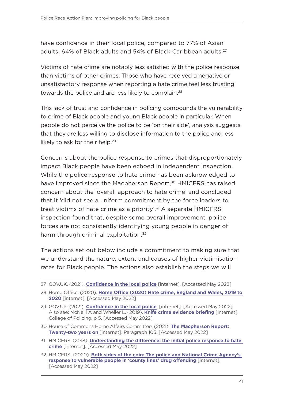have confidence in their local police, compared to 77% of Asian adults, 64% of Black adults and 54% of Black Caribbean adults.<sup>27</sup>

Victims of hate crime are notably less satisfied with the police response than victims of other crimes. Those who have received a negative or unsatisfactory response when reporting a hate crime feel less trusting towards the police and are less likely to complain.<sup>28</sup>

This lack of trust and confidence in policing compounds the vulnerability to crime of Black people and young Black people in particular. When people do not perceive the police to be 'on their side', analysis suggests that they are less willing to disclose information to the police and less likely to ask for their help.<sup>29</sup>

Concerns about the police response to crimes that disproportionately impact Black people have been echoed in independent inspection. While the police response to hate crime has been acknowledged to have improved since the Macpherson Report,<sup>30</sup> HMICFRS has raised concern about the 'overall approach to hate crime' and concluded that it 'did not see a uniform commitment by the force leaders to treat victims of hate crime as a priority'.<sup>31</sup> A separate HMICFRS inspection found that, despite some overall improvement, police forces are not consistently identifying young people in danger of harm through criminal exploitation.<sup>32</sup>

The actions set out below include a commitment to making sure that we understand the nature, extent and causes of higher victimisation rates for Black people. The actions also establish the steps we will

<sup>27</sup> GOV.UK. (2021). **[Confidence in the local police](https://www.ethnicity-facts-figures.service.gov.uk/crime-justice-and-the-law/policing/confidence-in-the-local-police/latest)** [internet]. [Accessed May 2022]

<sup>28</sup> Home Office. (2020). **[Home Office \(2020\) Hate crime, England and Wales, 2019 to](https://www.gov.uk/government/statistics/hate-crime-england-and-wales-2019-to-2020/hate-crime-england-and-wales-2019-to-2020)  [2020](https://www.gov.uk/government/statistics/hate-crime-england-and-wales-2019-to-2020/hate-crime-england-and-wales-2019-to-2020)** [internet]. [Accessed May 2022]

<sup>29</sup> GOV.UK. (2021). **[Confidence in the local police](https://www.ethnicity-facts-figures.service.gov.uk/crime-justice-and-the-law/policing/confidence-in-the-local-police/latest)**; [internet]. [Accessed May 2022]. Also see: McNeill A and Wheller L. (2019). **[Knife crime evidence briefing](https://assets.college.police.uk/s3fs-public/2022-03/Knife_Crime_Evidence_Briefing.pdf)** [internet]. College of Policing. p 5. [Accessed May 2022]

<sup>30</sup> House of Commons Home Affairs Committee. (2021). **[The Macpherson Report:](https://publications.parliament.uk/pa/cm5802/cmselect/cmhaff/139/13906.htm#_idTextAnchor029)  [Twenty-two years on](https://publications.parliament.uk/pa/cm5802/cmselect/cmhaff/139/13906.htm#_idTextAnchor029)** [internet]. Paragraph 105. [Accessed May 2022]

<sup>31</sup> HMICFRS. (2018). **[Understanding the difference: the initial police response to hate](https://www.justiceinspectorates.gov.uk/hmicfrs/wp-content/uploads/understanding-the-difference-the-initial-police-response-to-hate-crime.pdf)  [crime](https://www.justiceinspectorates.gov.uk/hmicfrs/wp-content/uploads/understanding-the-difference-the-initial-police-response-to-hate-crime.pdf)** [internet]. [Accessed May 2022]

<sup>32</sup> HMICFRS. (2020). **[Both sides of the coin: The police and National Crime Agency's](https://www.justiceinspectorates.gov.uk/hmicfrs/wp-content/uploads/both-sides-of-the-coin-police-nca-response-vulnerable-people-county-lines-drug-offending.pdf)  [response to vulnerable people in 'county lines' drug offending](https://www.justiceinspectorates.gov.uk/hmicfrs/wp-content/uploads/both-sides-of-the-coin-police-nca-response-vulnerable-people-county-lines-drug-offending.pdf)** [internet]. [Accessed May 2022]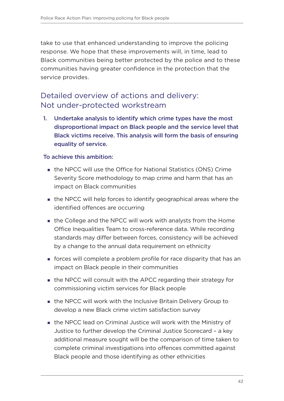take to use that enhanced understanding to improve the policing response. We hope that these improvements will, in time, lead to Black communities being better protected by the police and to these communities having greater confidence in the protection that the service provides.

### Detailed overview of actions and delivery: Not under-protected workstream

1. Undertake analysis to identify which crime types have the most disproportional impact on Black people and the service level that Black victims receive. This analysis will form the basis of ensuring equality of service.

- the NPCC will use the Office for National Statistics (ONS) Crime Severity Score methodology to map crime and harm that has an impact on Black communities
- the NPCC will help forces to identify geographical areas where the identified offences are occurring
- the College and the NPCC will work with analysts from the Home Office Inequalities Team to cross-reference data. While recording standards may differ between forces, consistency will be achieved by a change to the annual data requirement on ethnicity
- forces will complete a problem profile for race disparity that has an impact on Black people in their communities
- **the NPCC will consult with the APCC regarding their strategy for** commissioning victim services for Black people
- the NPCC will work with the Inclusive Britain Delivery Group to develop a new Black crime victim satisfaction survey
- the NPCC lead on Criminal Justice will work with the Ministry of Justice to further develop the Criminal Justice Scorecard – a key additional measure sought will be the comparison of time taken to complete criminal investigations into offences committed against Black people and those identifying as other ethnicities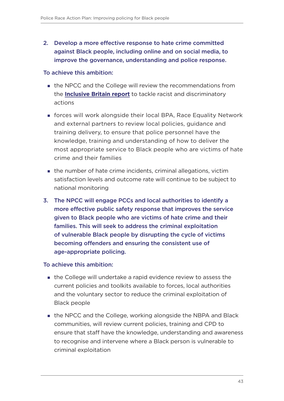2. Develop a more effective response to hate crime committed against Black people, including online and on social media, to improve the governance, understanding and police response.

#### To achieve this ambition:

- the NPCC and the College will review the recommendations from the **[Inclusive Britain report](https://www.gov.uk/government/publications/inclusive-britain-action-plan-government-response-to-the-commission-on-race-and-ethnic-disparities/inclusive-britain-government-response-to-the-commission-on-race-and-ethnic-disparities)** to tackle racist and discriminatory actions
- forces will work alongside their local BPA, Race Equality Network and external partners to review local policies, guidance and training delivery, to ensure that police personnel have the knowledge, training and understanding of how to deliver the most appropriate service to Black people who are victims of hate crime and their families
- **the number of hate crime incidents, criminal allegations, victim** satisfaction levels and outcome rate will continue to be subject to national monitoring
- 3. The NPCC will engage PCCs and local authorities to identify a more effective public safety response that improves the service given to Black people who are victims of hate crime and their families. This will seek to address the criminal exploitation of vulnerable Black people by disrupting the cycle of victims becoming offenders and ensuring the consistent use of age-appropriate policing.

- the College will undertake a rapid evidence review to assess the current policies and toolkits available to forces, local authorities and the voluntary sector to reduce the criminal exploitation of Black people
- **the NPCC and the College, working alongside the NBPA and Black** communities, will review current policies, training and CPD to ensure that staff have the knowledge, understanding and awareness to recognise and intervene where a Black person is vulnerable to criminal exploitation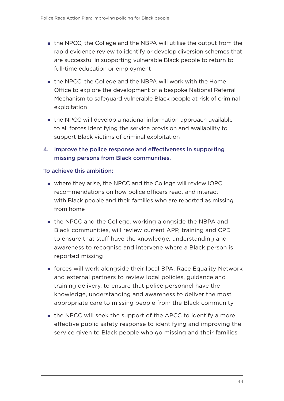- the NPCC, the College and the NBPA will utilise the output from the rapid evidence review to identify or develop diversion schemes that are successful in supporting vulnerable Black people to return to full-time education or employment
- the NPCC, the College and the NBPA will work with the Home Office to explore the development of a bespoke National Referral Mechanism to safeguard vulnerable Black people at risk of criminal exploitation
- **the NPCC will develop a national information approach available** to all forces identifying the service provision and availability to support Black victims of criminal exploitation
- 4. Improve the police response and effectiveness in supporting missing persons from Black communities.

- where they arise, the NPCC and the College will review IOPC recommendations on how police officers react and interact with Black people and their families who are reported as missing from home
- the NPCC and the College, working alongside the NBPA and Black communities, will review current APP, training and CPD to ensure that staff have the knowledge, understanding and awareness to recognise and intervene where a Black person is reported missing
- forces will work alongside their local BPA, Race Equality Network and external partners to review local policies, guidance and training delivery, to ensure that police personnel have the knowledge, understanding and awareness to deliver the most appropriate care to missing people from the Black community
- **the NPCC will seek the support of the APCC to identify a more** effective public safety response to identifying and improving the service given to Black people who go missing and their families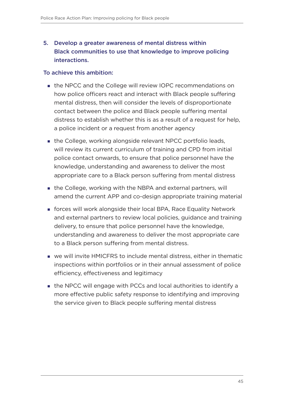### 5. Develop a greater awareness of mental distress within Black communities to use that knowledge to improve policing interactions.

- the NPCC and the College will review IOPC recommendations on how police officers react and interact with Black people suffering mental distress, then will consider the levels of disproportionate contact between the police and Black people suffering mental distress to establish whether this is as a result of a request for help, a police incident or a request from another agency
- the College, working alongside relevant NPCC portfolio leads, will review its current curriculum of training and CPD from initial police contact onwards, to ensure that police personnel have the knowledge, understanding and awareness to deliver the most appropriate care to a Black person suffering from mental distress
- the College, working with the NBPA and external partners, will amend the current APP and co-design appropriate training material
- forces will work alongside their local BPA, Race Equality Network and external partners to review local policies, guidance and training delivery, to ensure that police personnel have the knowledge, understanding and awareness to deliver the most appropriate care to a Black person suffering from mental distress.
- we will invite HMICFRS to include mental distress, either in thematic inspections within portfolios or in their annual assessment of police efficiency, effectiveness and legitimacy
- the NPCC will engage with PCCs and local authorities to identify a more effective public safety response to identifying and improving the service given to Black people suffering mental distress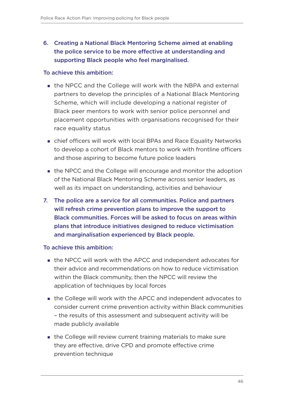### 6. Creating a National Black Mentoring Scheme aimed at enabling the police service to be more effective at understanding and supporting Black people who feel marginalised.

#### To achieve this ambition:

- the NPCC and the College will work with the NBPA and external partners to develop the principles of a National Black Mentoring Scheme, which will include developing a national register of Black peer mentors to work with senior police personnel and placement opportunities with organisations recognised for their race equality status
- chief officers will work with local BPAs and Race Equality Networks to develop a cohort of Black mentors to work with frontline officers and those aspiring to become future police leaders
- **the NPCC and the College will encourage and monitor the adoption** of the National Black Mentoring Scheme across senior leaders, as well as its impact on understanding, activities and behaviour
- 7. The police are a service for all communities. Police and partners will refresh crime prevention plans to improve the support to Black communities. Forces will be asked to focus on areas within plans that introduce initiatives designed to reduce victimisation and marginalisation experienced by Black people.

- the NPCC will work with the APCC and independent advocates for their advice and recommendations on how to reduce victimisation within the Black community, then the NPCC will review the application of techniques by local forces
- the College will work with the APCC and independent advocates to consider current crime prevention activity within Black communities – the results of this assessment and subsequent activity will be made publicly available
- **the College will review current training materials to make sure** they are effective, drive CPD and promote effective crime prevention technique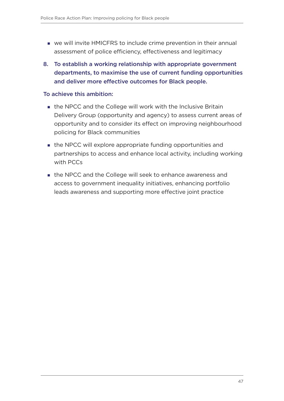- we will invite HMICFRS to include crime prevention in their annual assessment of police efficiency, effectiveness and legitimacy
- 8. To establish a working relationship with appropriate government departments, to maximise the use of current funding opportunities and deliver more effective outcomes for Black people.

- the NPCC and the College will work with the Inclusive Britain Delivery Group (opportunity and agency) to assess current areas of opportunity and to consider its effect on improving neighbourhood policing for Black communities
- the NPCC will explore appropriate funding opportunities and partnerships to access and enhance local activity, including working with PCCs
- the NPCC and the College will seek to enhance awareness and access to government inequality initiatives, enhancing portfolio leads awareness and supporting more effective joint practice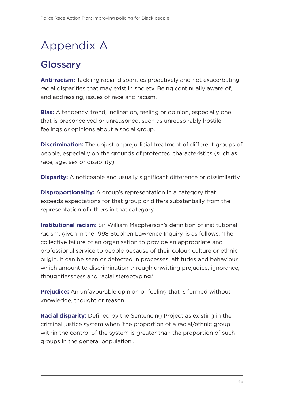# <span id="page-49-0"></span>Appendix A

## **Glossary**

**Anti-racism:** Tackling racial disparities proactively and not exacerbating racial disparities that may exist in society. Being continually aware of, and addressing, issues of race and racism.

**Bias:** A tendency, trend, inclination, feeling or opinion, especially one that is preconceived or unreasoned, such as unreasonably hostile feelings or opinions about a social group.

**Discrimination:** The unjust or prejudicial treatment of different groups of people, especially on the grounds of protected characteristics (such as race, age, sex or disability).

**Disparity:** A noticeable and usually significant difference or dissimilarity.

**Disproportionality:** A group's representation in a category that exceeds expectations for that group or differs substantially from the representation of others in that category.

**Institutional racism:** Sir William Macpherson's definition of institutional racism, given in the 1998 Stephen Lawrence Inquiry, is as follows. 'The collective failure of an organisation to provide an appropriate and professional service to people because of their colour, culture or ethnic origin. It can be seen or detected in processes, attitudes and behaviour which amount to discrimination through unwitting prejudice, ignorance, thoughtlessness and racial stereotyping.'

**Prejudice:** An unfavourable opinion or feeling that is formed without knowledge, thought or reason.

**Racial disparity:** Defined by the Sentencing Project as existing in the criminal justice system when 'the proportion of a racial/ethnic group within the control of the system is greater than the proportion of such groups in the general population'.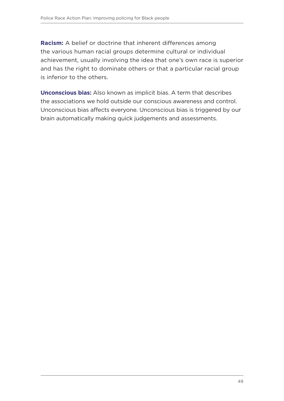**Racism:** A belief or doctrine that inherent differences among the various human racial groups determine cultural or individual achievement, usually involving the idea that one's own race is superior and has the right to dominate others or that a particular racial group is inferior to the others.

**Unconscious bias:** Also known as implicit bias. A term that describes the associations we hold outside our conscious awareness and control. Unconscious bias affects everyone. Unconscious bias is triggered by our brain automatically making quick judgements and assessments.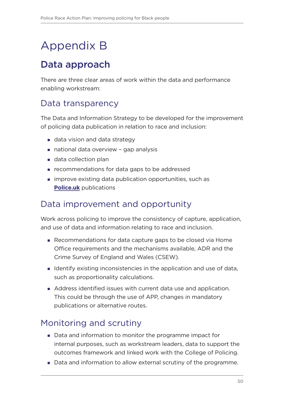# <span id="page-51-0"></span>Appendix B

## Data approach

There are three clear areas of work within the data and performance enabling workstream:

### Data transparency

The Data and Information Strategy to be developed for the improvement of policing data publication in relation to race and inclusion:

- data vision and data strategy
- national data overview gap analysis
- **data collection plan**
- **F** recommendations for data gaps to be addressed
- **improve existing data publication opportunities, such as [Police.uk](https://www.police.uk/)** publications

### Data improvement and opportunity

Work across policing to improve the consistency of capture, application, and use of data and information relating to race and inclusion.

- Recommendations for data capture gaps to be closed via Home Office requirements and the mechanisms available, ADR and the Crime Survey of England and Wales (CSEW).
- I Identify existing inconsistencies in the application and use of data, such as proportionality calculations.
- Address identified issues with current data use and application. This could be through the use of APP, changes in mandatory publications or alternative routes.

### Monitoring and scrutiny

- Data and information to monitor the programme impact for internal purposes, such as workstream leaders, data to support the outcomes framework and linked work with the College of Policing.
- Data and information to allow external scrutiny of the programme.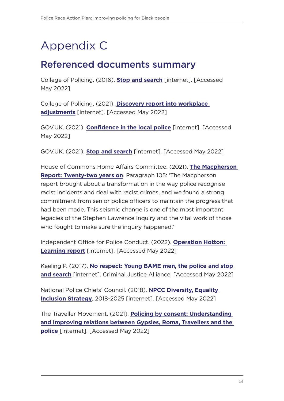# <span id="page-52-0"></span>Appendix C

### Referenced documents summary

College of Policing. (2016). **[Stop and search](https://www.college.police.uk/app/stop-and-search/stop-and-search)** [internet]. [Accessed May 2022]

College of Policing. (2021). **[Discovery report into workplace](https://assets.college.police.uk/s3fs-public/2021-08/discovery-report-workplace-adjustments.pdf)  [adjustments](https://assets.college.police.uk/s3fs-public/2021-08/discovery-report-workplace-adjustments.pdf)** [internet]. [Accessed May 2022]

GOV.UK. (2021). **[Confidence in the local police](https://www.ethnicity-facts-figures.service.gov.uk/crime-justice-and-the-law/policing/confidence-in-the-local-police/latest)** [internet]. [Accessed May 2022]

GOV.UK. (2021). **[Stop and search](https://www.ethnicity-facts-figures.service.gov.uk/crime-justice-and-the-law/policing/stop-and-search/latest)** [internet]. [Accessed May 2022]

House of Commons Home Affairs Committee. (2021). **[The Macpherson](https://publications.parliament.uk/pa/cm5802/cmselect/cmhaff/139/13906.htm#_idTextAnchor902)  [Report: Twenty-two years on](https://publications.parliament.uk/pa/cm5802/cmselect/cmhaff/139/13906.htm#_idTextAnchor902)**. Paragraph 105: 'The Macpherson report brought about a transformation in the way police recognise racist incidents and deal with racist crimes, and we found a strong commitment from senior police officers to maintain the progress that had been made. This seismic change is one of the most important legacies of the Stephen Lawrence Inquiry and the vital work of those who fought to make sure the inquiry happened.'

Independent Office for Police Conduct. (2022). **[Operation Hotton:](https://www.policeconduct.gov.uk/sites/default/files/Operation%20Hotton%20Learning%20report%20-%20January%202022.pdf)  [Learning report](https://www.policeconduct.gov.uk/sites/default/files/Operation%20Hotton%20Learning%20report%20-%20January%202022.pdf)** [internet]. [Accessed May 2022]

Keeling P. (2017). **[No respect: Young BAME men, the police and stop](https://www.criminaljusticealliance.org/wp-content/uploads/No-Respect-Young-BAME-men.pdf)  [and search](https://www.criminaljusticealliance.org/wp-content/uploads/No-Respect-Young-BAME-men.pdf)** [internet]. Criminal Justice Alliance. [Accessed May 2022]

National Police Chiefs' Council. (2018). **[NPCC Diversity, Equality](https://www.npcc.police.uk/documents/edhr/2018/NPCC%20Diversity%20Equality%20Inclusion%20Strategy%20May%202018.pdf)  [Inclusion Strategy](https://www.npcc.police.uk/documents/edhr/2018/NPCC%20Diversity%20Equality%20Inclusion%20Strategy%20May%202018.pdf)**, 2018-2025 [internet]. [Accessed May 2022]

The Traveller Movement. (2021). **[Policing by consent: Understanding](https://wp-main.travellermovement.org.uk/wp-content/uploads/2021/09/Policing-by-Consent-Report-long.pdf)  [and Improving relations between Gypsies, Roma, Travellers and the](https://wp-main.travellermovement.org.uk/wp-content/uploads/2021/09/Policing-by-Consent-Report-long.pdf)  [police](https://wp-main.travellermovement.org.uk/wp-content/uploads/2021/09/Policing-by-Consent-Report-long.pdf)** [internet]. [Accessed May 2022]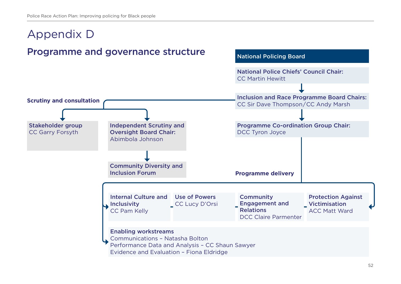#### <span id="page-53-0"></span>Appendix D Programme and governance structure Community Diversity and Inclusion Forum Protection Against Victimisation ACC Matt Ward Internal Culture and Use of Powers  $\blacksquare$  Inclusivity CC Pam Kelly CC Lucy D'Orsi **Community** Engagement and Relations DCC Claire Parmenter Enabling workstreams **Programme delivery Scrutiny and consultation** Stakeholder group CC Garry Forsyth National Police Chiefs' Council Chair: CC Martin Hewitt Inclusion and Race Programme Board Chairs: CC Sir Dave Thompson/CC Andy Marsh Programme Co-ordination Group Chair: DCC Tyron Joyce National Policing Board Independent Scrutiny and Oversight Board Chair: Abimbola Johnson

Communications – Natasha Bolton

Performance Data and Analysis – CC Shaun Sawyer

Evidence and Evaluation – Fiona Eldridge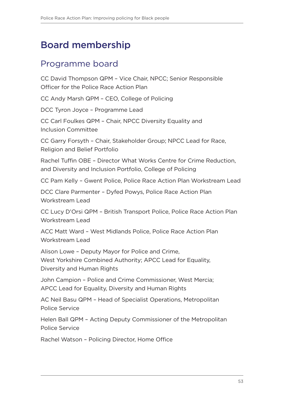### <span id="page-54-0"></span>Board membership

### Programme board

CC David Thompson QPM – Vice Chair, NPCC; Senior Responsible Officer for the Police Race Action Plan

CC Andy Marsh QPM – CEO, College of Policing

DCC Tyron Joyce – Programme Lead

CC Carl Foulkes QPM – Chair, NPCC Diversity Equality and Inclusion Committee

CC Garry Forsyth – Chair, Stakeholder Group; NPCC Lead for Race, Religion and Belief Portfolio

Rachel Tuffin OBE – Director What Works Centre for Crime Reduction, and Diversity and Inclusion Portfolio, College of Policing

CC Pam Kelly – Gwent Police, Police Race Action Plan Workstream Lead

DCC Clare Parmenter – Dyfed Powys, Police Race Action Plan Workstream Lead

CC Lucy D'Orsi QPM – British Transport Police, Police Race Action Plan Workstream Lead

ACC Matt Ward – West Midlands Police, Police Race Action Plan Workstream Lead

Alison Lowe – Deputy Mayor for Police and Crime, West Yorkshire Combined Authority; APCC Lead for Equality, Diversity and Human Rights

John Campion – Police and Crime Commissioner, West Mercia; APCC Lead for Equality, Diversity and Human Rights

AC Neil Basu QPM – Head of Specialist Operations, Metropolitan Police Service

Helen Ball QPM – Acting Deputy Commissioner of the Metropolitan Police Service

Rachel Watson – Policing Director, Home Office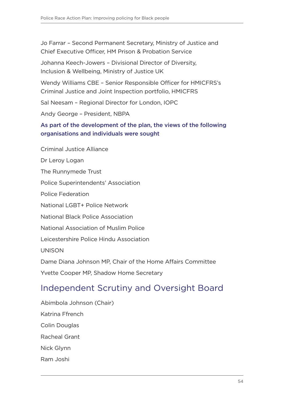Jo Farrar – Second Permanent Secretary, Ministry of Justice and Chief Executive Officer, HM Prison & Probation Service

Johanna Keech-Jowers – Divisional Director of Diversity, Inclusion & Wellbeing, Ministry of Justice UK

Wendy Williams CBE – Senior Responsible Officer for HMICFRS's Criminal Justice and Joint Inspection portfolio, HMICFRS

Sal Neesam – Regional Director for London, IOPC

Andy George – President, NBPA

#### As part of the development of the plan, the views of the following organisations and individuals were sought

Criminal Justice Alliance

Dr Leroy Logan

The Runnymede Trust

Police Superintendents' Association

Police Federation

National LGBT+ Police Network

National Black Police Association

National Association of Muslim Police

Leicestershire Police Hindu Association

UNISON

Dame Diana Johnson MP, Chair of the Home Affairs Committee

Yvette Cooper MP, Shadow Home Secretary

### Independent Scrutiny and Oversight Board

Abimbola Johnson (Chair) Katrina Ffrench Colin Douglas Racheal Grant Nick Glynn Ram Joshi